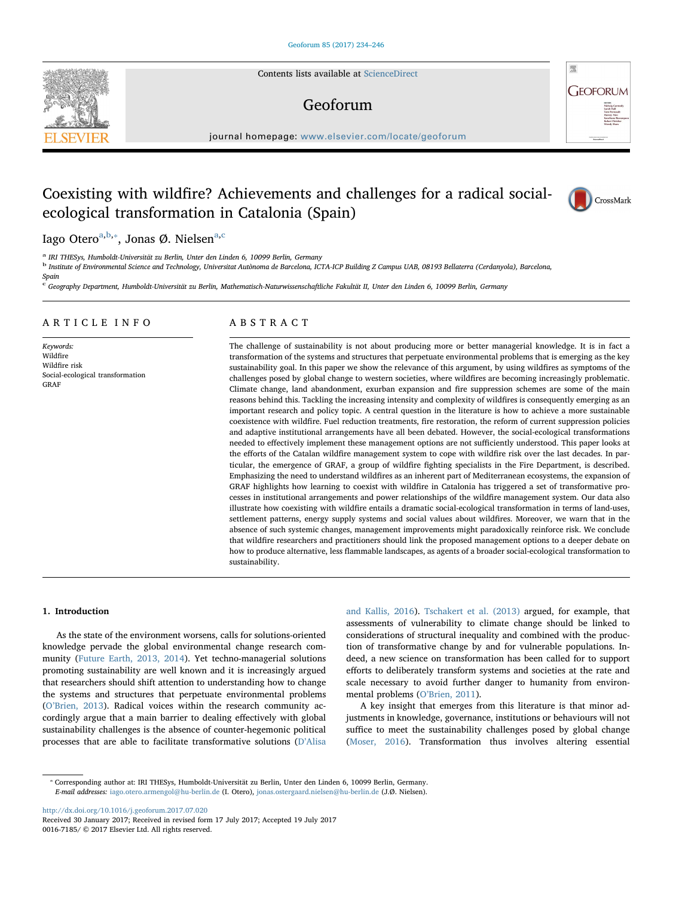Contents lists available at [ScienceDirect](http://www.sciencedirect.com/science/journal/00167185)

# Geoforum

journal homepage: [www.elsevier.com/locate/geoforum](http://www.elsevier.com/locate/geoforum)

# Coexisting with wildfire? Achievements and challenges for a radical socialecological transformation in Catalonia (Spain)



<span id="page-0-0"></span><sup>a</sup> IRI THESys, Humboldt-Universität zu Berlin, Unter den Linden 6, 10099 Berlin, Germany

<span id="page-0-1"></span><sup>b</sup> Institute of Environmental Science and Technology, Universitat Autònoma de Barcelona, ICTA-ICP Building Z Campus UAB, 08193 Bellaterra (Cerdanyola), Barcelona, Spain

<span id="page-0-3"></span><sup>c</sup> Geography Department, Humboldt-Universität zu Berlin, Mathematisch-Naturwissenschaftliche Fakultät II, Unter den Linden 6, 10099 Berlin, Germany

## ARTICLE INFO

Keywords: Wildfire Wildfire risk Social-ecological transformation GRAF

## ABSTRACT

The challenge of sustainability is not about producing more or better managerial knowledge. It is in fact a transformation of the systems and structures that perpetuate environmental problems that is emerging as the key sustainability goal. In this paper we show the relevance of this argument, by using wildfires as symptoms of the challenges posed by global change to western societies, where wildfires are becoming increasingly problematic. Climate change, land abandonment, exurban expansion and fire suppression schemes are some of the main reasons behind this. Tackling the increasing intensity and complexity of wildfires is consequently emerging as an important research and policy topic. A central question in the literature is how to achieve a more sustainable coexistence with wildfire. Fuel reduction treatments, fire restoration, the reform of current suppression policies and adaptive institutional arrangements have all been debated. However, the social-ecological transformations needed to effectively implement these management options are not sufficiently understood. This paper looks at the efforts of the Catalan wildfire management system to cope with wildfire risk over the last decades. In particular, the emergence of GRAF, a group of wildfire fighting specialists in the Fire Department, is described. Emphasizing the need to understand wildfires as an inherent part of Mediterranean ecosystems, the expansion of GRAF highlights how learning to coexist with wildfire in Catalonia has triggered a set of transformative processes in institutional arrangements and power relationships of the wildfire management system. Our data also illustrate how coexisting with wildfire entails a dramatic social-ecological transformation in terms of land-uses, settlement patterns, energy supply systems and social values about wildfires. Moreover, we warn that in the absence of such systemic changes, management improvements might paradoxically reinforce risk. We conclude that wildfire researchers and practitioners should link the proposed management options to a deeper debate on how to produce alternative, less flammable landscapes, as agents of a broader social-ecological transformation to sustainability.

#### 1. Introduction

As the state of the environment worsens, calls for solutions-oriented knowledge pervade the global environmental change research community ([Future Earth, 2013, 2014](#page-11-0)). Yet techno-managerial solutions promoting sustainability are well known and it is increasingly argued that researchers should shift attention to understanding how to change the systems and structures that perpetuate environmental problems (O'[Brien, 2013\)](#page-11-1). Radical voices within the research community accordingly argue that a main barrier to dealing effectively with global sustainability challenges is the absence of counter-hegemonic political processes that are able to facilitate transformative solutions (D'[Alisa](#page-10-0)

[and Kallis, 2016\)](#page-10-0). [Tschakert et al. \(2013\)](#page-12-0) argued, for example, that assessments of vulnerability to climate change should be linked to considerations of structural inequality and combined with the production of transformative change by and for vulnerable populations. Indeed, a new science on transformation has been called for to support efforts to deliberately transform systems and societies at the rate and scale necessary to avoid further danger to humanity from environmental problems (O'[Brien, 2011](#page-11-2)).

A key insight that emerges from this literature is that minor adjustments in knowledge, governance, institutions or behaviours will not suffice to meet the sustainability challenges posed by global change ([Moser, 2016\)](#page-11-3). Transformation thus involves altering essential

<span id="page-0-2"></span>⁎ Corresponding author at: IRI THESys, Humboldt-Universität zu Berlin, Unter den Linden 6, 10099 Berlin, Germany. E-mail addresses: [iago.otero.armengol@hu-berlin.de](mailto:iago.otero.armengol@hu-berlin.de) (I. Otero), [jonas.ostergaard.nielsen@hu-berlin.de](mailto:jonas.ostergaard.nielsen@hu-berlin.de) (J.Ø. Nielsen).

<http://dx.doi.org/10.1016/j.geoforum.2017.07.020>





CrossMark

Received 30 January 2017; Received in revised form 17 July 2017; Accepted 19 July 2017 0016-7185/ © 2017 Elsevier Ltd. All rights reserved.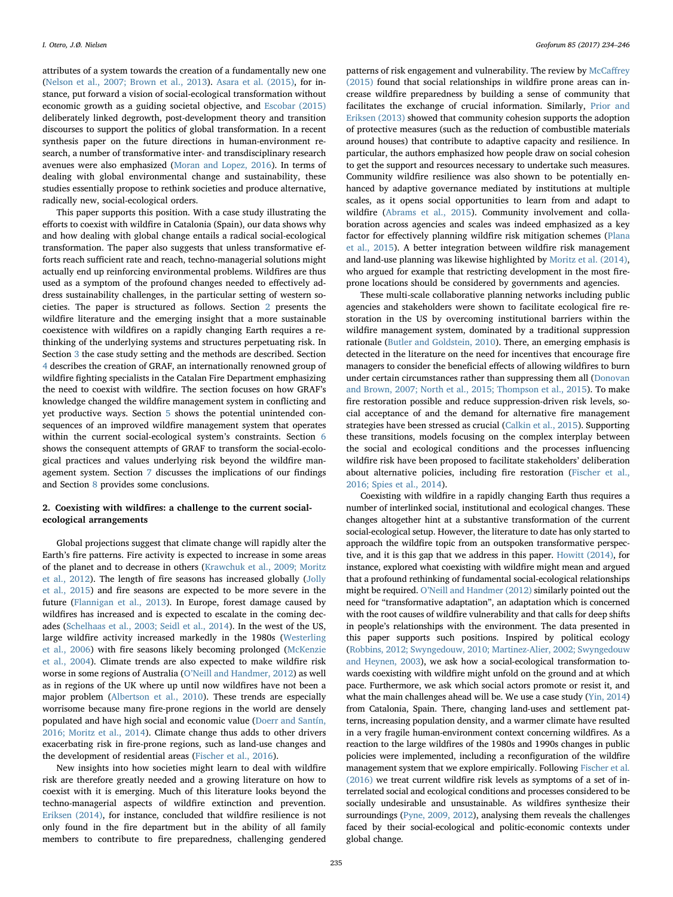attributes of a system towards the creation of a fundamentally new one ([Nelson et al., 2007; Brown et al., 2013](#page-11-4)). [Asara et al. \(2015\)](#page-10-1), for instance, put forward a vision of social-ecological transformation without economic growth as a guiding societal objective, and [Escobar \(2015\)](#page-10-2) deliberately linked degrowth, post-development theory and transition discourses to support the politics of global transformation. In a recent synthesis paper on the future directions in human-environment research, a number of transformative inter- and transdisciplinary research avenues were also emphasized [\(Moran and Lopez, 2016](#page-11-5)). In terms of dealing with global environmental change and sustainability, these studies essentially propose to rethink societies and produce alternative, radically new, social-ecological orders.

This paper supports this position. With a case study illustrating the efforts to coexist with wildfire in Catalonia (Spain), our data shows why and how dealing with global change entails a radical social-ecological transformation. The paper also suggests that unless transformative efforts reach sufficient rate and reach, techno-managerial solutions might actually end up reinforcing environmental problems. Wildfires are thus used as a symptom of the profound changes needed to effectively address sustainability challenges, in the particular setting of western societies. The paper is structured as follows. Section [2](#page-1-0) presents the wildfire literature and the emerging insight that a more sustainable coexistence with wildfires on a rapidly changing Earth requires a rethinking of the underlying systems and structures perpetuating risk. In Section [3](#page-2-0) the case study setting and the methods are described. Section [4](#page-4-0) describes the creation of GRAF, an internationally renowned group of wildfire fighting specialists in the Catalan Fire Department emphasizing the need to coexist with wildfire. The section focuses on how GRAF's knowledge changed the wildfire management system in conflicting and yet productive ways. Section [5](#page-7-0) shows the potential unintended consequences of an improved wildfire management system that operates within the current social-ecological system's constraints. Section [6](#page-7-1) shows the consequent attempts of GRAF to transform the social-ecological practices and values underlying risk beyond the wildfire management system. Section [7](#page-8-0) discusses the implications of our findings and Section [8](#page-10-3) provides some conclusions.

## <span id="page-1-0"></span>2. Coexisting with wildfires: a challenge to the current socialecological arrangements

Global projections suggest that climate change will rapidly alter the Earth's fire patterns. Fire activity is expected to increase in some areas of the planet and to decrease in others [\(Krawchuk et al., 2009; Moritz](#page-11-6) [et al., 2012\)](#page-11-6). The length of fire seasons has increased globally ([Jolly](#page-11-7) [et al., 2015\)](#page-11-7) and fire seasons are expected to be more severe in the future ([Flannigan et al., 2013](#page-10-4)). In Europe, forest damage caused by wildfires has increased and is expected to escalate in the coming decades ([Schelhaas et al., 2003; Seidl et al., 2014\)](#page-11-8). In the west of the US, large wildfire activity increased markedly in the 1980s ([Westerling](#page-12-1) [et al., 2006](#page-12-1)) with fire seasons likely becoming prolonged [\(McKenzie](#page-11-9) [et al., 2004](#page-11-9)). Climate trends are also expected to make wildfire risk worse in some regions of Australia (O'[Neill and Handmer, 2012\)](#page-11-10) as well as in regions of the UK where up until now wildfires have not been a major problem [\(Albertson et al., 2010\)](#page-10-5). These trends are especially worrisome because many fire-prone regions in the world are densely populated and have high social and economic value [\(Doerr and Santín,](#page-10-6) [2016; Moritz et al., 2014\)](#page-10-6). Climate change thus adds to other drivers exacerbating risk in fire-prone regions, such as land-use changes and the development of residential areas [\(Fischer et al., 2016\)](#page-10-7).

New insights into how societies might learn to deal with wildfire risk are therefore greatly needed and a growing literature on how to coexist with it is emerging. Much of this literature looks beyond the techno-managerial aspects of wildfire extinction and prevention. [Eriksen \(2014\),](#page-10-8) for instance, concluded that wildfire resilience is not only found in the fire department but in the ability of all family members to contribute to fire preparedness, challenging gendered

patterns of risk engagement and vulnerability. The review by [McCa](#page-11-11)ffrey [\(2015\)](#page-11-11) found that social relationships in wildfire prone areas can increase wildfire preparedness by building a sense of community that facilitates the exchange of crucial information. Similarly, [Prior and](#page-11-12) [Eriksen \(2013\)](#page-11-12) showed that community cohesion supports the adoption of protective measures (such as the reduction of combustible materials around houses) that contribute to adaptive capacity and resilience. In particular, the authors emphasized how people draw on social cohesion to get the support and resources necessary to undertake such measures. Community wildfire resilience was also shown to be potentially enhanced by adaptive governance mediated by institutions at multiple scales, as it opens social opportunities to learn from and adapt to wildfire ([Abrams et al., 2015](#page-10-9)). Community involvement and collaboration across agencies and scales was indeed emphasized as a key factor for effectively planning wildfire risk mitigation schemes [\(Plana](#page-11-13) [et al., 2015\)](#page-11-13). A better integration between wildfire risk management and land-use planning was likewise highlighted by [Moritz et al. \(2014\)](#page-11-14), who argued for example that restricting development in the most fireprone locations should be considered by governments and agencies.

These multi-scale collaborative planning networks including public agencies and stakeholders were shown to facilitate ecological fire restoration in the US by overcoming institutional barriers within the wildfire management system, dominated by a traditional suppression rationale [\(Butler and Goldstein, 2010\)](#page-10-10). There, an emerging emphasis is detected in the literature on the need for incentives that encourage fire managers to consider the beneficial effects of allowing wildfires to burn under certain circumstances rather than suppressing them all [\(Donovan](#page-10-11) [and Brown, 2007; North et al., 2015; Thompson et al., 2015\)](#page-10-11). To make fire restoration possible and reduce suppression-driven risk levels, social acceptance of and the demand for alternative fire management strategies have been stressed as crucial [\(Calkin et al., 2015\)](#page-10-12). Supporting these transitions, models focusing on the complex interplay between the social and ecological conditions and the processes influencing wildfire risk have been proposed to facilitate stakeholders' deliberation about alternative policies, including fire restoration [\(Fischer et al.,](#page-10-7) [2016; Spies et al., 2014\)](#page-10-7).

Coexisting with wildfire in a rapidly changing Earth thus requires a number of interlinked social, institutional and ecological changes. These changes altogether hint at a substantive transformation of the current social-ecological setup. However, the literature to date has only started to approach the wildfire topic from an outspoken transformative perspective, and it is this gap that we address in this paper. [Howitt \(2014\),](#page-11-15) for instance, explored what coexisting with wildfire might mean and argued that a profound rethinking of fundamental social-ecological relationships might be required. O'[Neill and Handmer \(2012\)](#page-11-10) similarly pointed out the need for "transformative adaptation", an adaptation which is concerned with the root causes of wildfire vulnerability and that calls for deep shifts in people's relationships with the environment. The data presented in this paper supports such positions. Inspired by political ecology ([Robbins, 2012; Swyngedouw, 2010; Martinez-Alier, 2002; Swyngedouw](#page-11-16) [and Heynen, 2003](#page-11-16)), we ask how a social-ecological transformation towards coexisting with wildfire might unfold on the ground and at which pace. Furthermore, we ask which social actors promote or resist it, and what the main challenges ahead will be. We use a case study [\(Yin, 2014\)](#page-12-2) from Catalonia, Spain. There, changing land-uses and settlement patterns, increasing population density, and a warmer climate have resulted in a very fragile human-environment context concerning wildfires. As a reaction to the large wildfires of the 1980s and 1990s changes in public policies were implemented, including a reconfiguration of the wildfire management system that we explore empirically. Following [Fischer et al.](#page-10-7) [\(2016\)](#page-10-7) we treat current wildfire risk levels as symptoms of a set of interrelated social and ecological conditions and processes considered to be socially undesirable and unsustainable. As wildfires synthesize their surroundings [\(Pyne, 2009, 2012\)](#page-11-17), analysing them reveals the challenges faced by their social-ecological and politic-economic contexts under global change.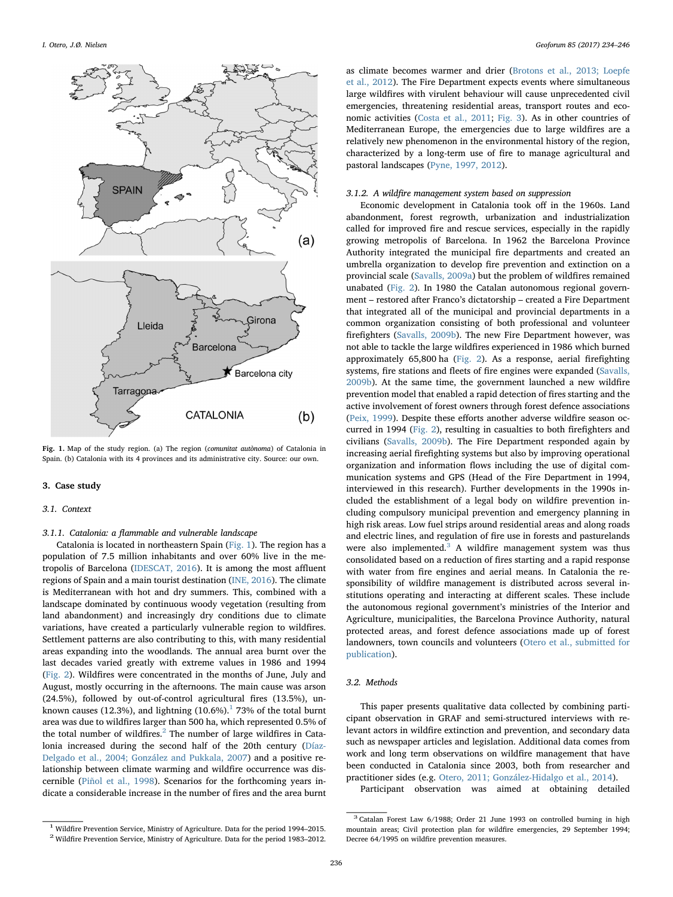<span id="page-2-1"></span>

Fig. 1. Map of the study region. (a) The region (comunitat autònoma) of Catalonia in Spain. (b) Catalonia with its 4 provinces and its administrative city. Source: our own.

#### <span id="page-2-0"></span>3. Case study

#### 3.1. Context

## 3.1.1. Catalonia: a flammable and vulnerable landscape

Catalonia is located in northeastern Spain ([Fig. 1\)](#page-2-1). The region has a population of 7.5 million inhabitants and over 60% live in the metropolis of Barcelona ([IDESCAT, 2016](#page-11-18)). It is among the most affluent regions of Spain and a main tourist destination [\(INE, 2016](#page-11-19)). The climate is Mediterranean with hot and dry summers. This, combined with a landscape dominated by continuous woody vegetation (resulting from land abandonment) and increasingly dry conditions due to climate variations, have created a particularly vulnerable region to wildfires. Settlement patterns are also contributing to this, with many residential areas expanding into the woodlands. The annual area burnt over the last decades varied greatly with extreme values in 1986 and 1994 ([Fig. 2](#page-3-0)). Wildfires were concentrated in the months of June, July and August, mostly occurring in the afternoons. The main cause was arson (24.5%), followed by out-of-control agricultural fires (13.5%), un-known causes ([1](#page-2-2)2.3%), and lightning  $(10.6\%)$ .<sup>1</sup> 73% of the total burnt area was due to wildfires larger than 500 ha, which represented 0.5% of the total number of wildfires. $<sup>2</sup>$  $<sup>2</sup>$  $<sup>2</sup>$  The number of large wildfires in Cata-</sup> lonia increased during the second half of the 20th century [\(Díaz-](#page-10-13)[Delgado et al., 2004; González and Pukkala, 2007](#page-10-13)) and a positive relationship between climate warming and wildfire occurrence was discernible [\(Piñol et al., 1998\)](#page-11-20). Scenarios for the forthcoming years indicate a considerable increase in the number of fires and the area burnt as climate becomes warmer and drier ([Brotons et al., 2013; Loepfe](#page-10-14) [et al., 2012\)](#page-10-14). The Fire Department expects events where simultaneous large wildfires with virulent behaviour will cause unprecedented civil emergencies, threatening residential areas, transport routes and economic activities ([Costa et al., 2011](#page-10-15); [Fig. 3\)](#page-3-1). As in other countries of Mediterranean Europe, the emergencies due to large wildfires are a relatively new phenomenon in the environmental history of the region, characterized by a long-term use of fire to manage agricultural and pastoral landscapes [\(Pyne, 1997, 2012](#page-11-21)).

#### <span id="page-2-5"></span>3.1.2. A wildfire management system based on suppression

Economic development in Catalonia took off in the 1960s. Land abandonment, forest regrowth, urbanization and industrialization called for improved fire and rescue services, especially in the rapidly growing metropolis of Barcelona. In 1962 the Barcelona Province Authority integrated the municipal fire departments and created an umbrella organization to develop fire prevention and extinction on a provincial scale ([Savalls, 2009a\)](#page-11-22) but the problem of wildfires remained unabated ([Fig. 2\)](#page-3-0). In 1980 the Catalan autonomous regional government – restored after Franco's dictatorship – created a Fire Department that integrated all of the municipal and provincial departments in a common organization consisting of both professional and volunteer firefighters ([Savalls, 2009b\)](#page-11-23). The new Fire Department however, was not able to tackle the large wildfires experienced in 1986 which burned approximately 65,800 ha [\(Fig. 2](#page-3-0)). As a response, aerial firefighting systems, fire stations and fleets of fire engines were expanded [\(Savalls,](#page-11-23) [2009b\)](#page-11-23). At the same time, the government launched a new wildfire prevention model that enabled a rapid detection of fires starting and the active involvement of forest owners through forest defence associations ([Peix, 1999\)](#page-11-24). Despite these efforts another adverse wildfire season occurred in 1994 ([Fig. 2](#page-3-0)), resulting in casualties to both firefighters and civilians ([Savalls, 2009b\)](#page-11-23). The Fire Department responded again by increasing aerial firefighting systems but also by improving operational organization and information flows including the use of digital communication systems and GPS (Head of the Fire Department in 1994, interviewed in this research). Further developments in the 1990s included the establishment of a legal body on wildfire prevention including compulsory municipal prevention and emergency planning in high risk areas. Low fuel strips around residential areas and along roads and electric lines, and regulation of fire use in forests and pasturelands were also implemented. $3$  A wildfire management system was thus consolidated based on a reduction of fires starting and a rapid response with water from fire engines and aerial means. In Catalonia the responsibility of wildfire management is distributed across several institutions operating and interacting at different scales. These include the autonomous regional government's ministries of the Interior and Agriculture, municipalities, the Barcelona Province Authority, natural protected areas, and forest defence associations made up of forest landowners, town councils and volunteers [\(Otero et al., submitted for](#page-11-25) [publication\)](#page-11-25).

## 3.2. Methods

This paper presents qualitative data collected by combining participant observation in GRAF and semi-structured interviews with relevant actors in wildfire extinction and prevention, and secondary data such as newspaper articles and legislation. Additional data comes from work and long term observations on wildfire management that have been conducted in Catalonia since 2003, both from researcher and practitioner sides (e.g. [Otero, 2011; González-Hidalgo et al., 2014](#page-11-26)).

Participant observation was aimed at obtaining detailed

<span id="page-2-3"></span><span id="page-2-2"></span> $^{\rm 1}$  Wildfire Prevention Service, Ministry of Agriculture. Data for the period 1994–2015.  $^{\rm 2}$  Wildfire Prevention Service, Ministry of Agriculture. Data for the period 1983–2012.

<span id="page-2-4"></span><sup>3</sup> Catalan Forest Law 6/1988; Order 21 June 1993 on controlled burning in high mountain areas; Civil protection plan for wildfire emergencies, 29 September 1994; Decree 64/1995 on wildfire prevention measures.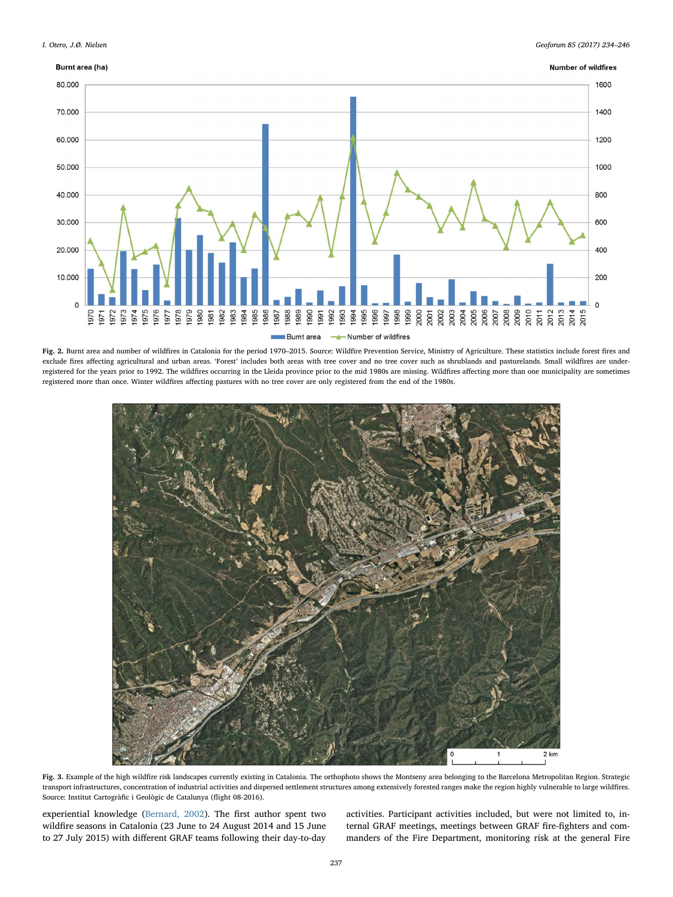Burnt area (ha)

## Number of wildfires

<span id="page-3-0"></span>

Fig. 2. Burnt area and number of wildfires in Catalonia for the period 1970–2015. Source: Wildfire Prevention Service, Ministry of Agriculture. These statistics include forest fires and exclude fires affecting agricultural and urban areas. 'Forest' includes both areas with tree cover and no tree cover such as shrublands and pasturelands. Small wildfires are underregistered for the years prior to 1992. The wildfires occurring in the Lleida province prior to the mid 1980s are missing. Wildfires affecting more than one municipality are sometimes registered more than once. Winter wildfires affecting pastures with no tree cover are only registered from the end of the 1980s.

<span id="page-3-1"></span>

Fig. 3. Example of the high wildfire risk landscapes currently existing in Catalonia. The orthophoto shows the Montseny area belonging to the Barcelona Metropolitan Region. Strategic transport infrastructures, concentration of industrial activities and dispersed settlement structures among extensively forested ranges make the region highly vulnerable to large wildfires. Source: Institut Cartogràfic i Geològic de Catalunya (flight 08-2016).

experiential knowledge ([Bernard, 2002\)](#page-10-16). The first author spent two wildfire seasons in Catalonia (23 June to 24 August 2014 and 15 June to 27 July 2015) with different GRAF teams following their day-to-day

activities. Participant activities included, but were not limited to, internal GRAF meetings, meetings between GRAF fire-fighters and commanders of the Fire Department, monitoring risk at the general Fire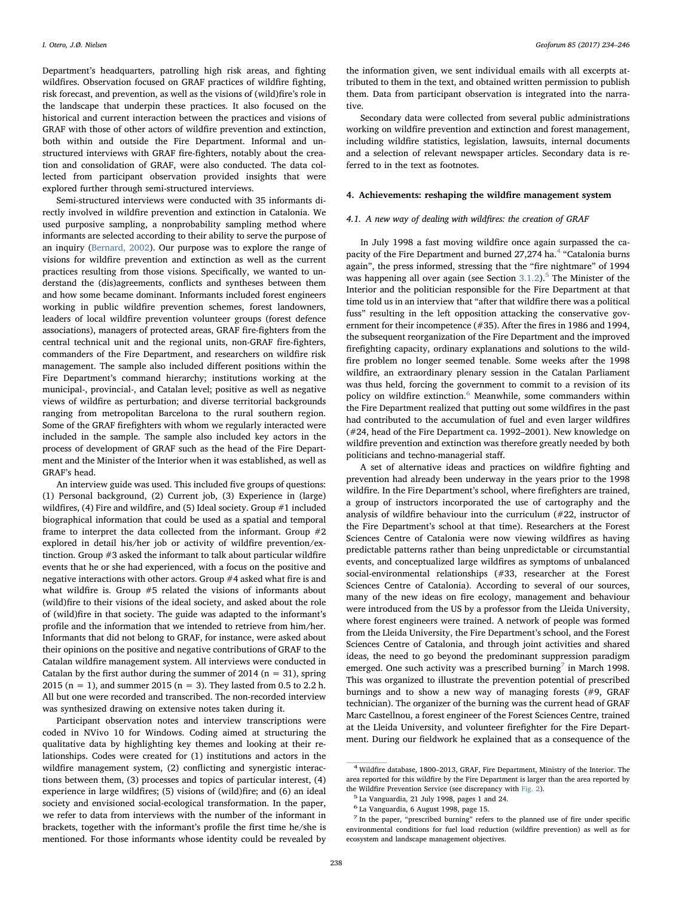Department's headquarters, patrolling high risk areas, and fighting wildfires. Observation focused on GRAF practices of wildfire fighting, risk forecast, and prevention, as well as the visions of (wild)fire's role in the landscape that underpin these practices. It also focused on the historical and current interaction between the practices and visions of GRAF with those of other actors of wildfire prevention and extinction, both within and outside the Fire Department. Informal and unstructured interviews with GRAF fire-fighters, notably about the creation and consolidation of GRAF, were also conducted. The data collected from participant observation provided insights that were explored further through semi-structured interviews.

Semi-structured interviews were conducted with 35 informants directly involved in wildfire prevention and extinction in Catalonia. We used purposive sampling, a nonprobability sampling method where informants are selected according to their ability to serve the purpose of an inquiry [\(Bernard, 2002](#page-10-16)). Our purpose was to explore the range of visions for wildfire prevention and extinction as well as the current practices resulting from those visions. Specifically, we wanted to understand the (dis)agreements, conflicts and syntheses between them and how some became dominant. Informants included forest engineers working in public wildfire prevention schemes, forest landowners, leaders of local wildfire prevention volunteer groups (forest defence associations), managers of protected areas, GRAF fire-fighters from the central technical unit and the regional units, non-GRAF fire-fighters, commanders of the Fire Department, and researchers on wildfire risk management. The sample also included different positions within the Fire Department's command hierarchy; institutions working at the municipal-, provincial-, and Catalan level; positive as well as negative views of wildfire as perturbation; and diverse territorial backgrounds ranging from metropolitan Barcelona to the rural southern region. Some of the GRAF firefighters with whom we regularly interacted were included in the sample. The sample also included key actors in the process of development of GRAF such as the head of the Fire Department and the Minister of the Interior when it was established, as well as GRAF's head.

An interview guide was used. This included five groups of questions: (1) Personal background, (2) Current job, (3) Experience in (large) wildfires, (4) Fire and wildfire, and (5) Ideal society. Group #1 included biographical information that could be used as a spatial and temporal frame to interpret the data collected from the informant. Group #2 explored in detail his/her job or activity of wildfire prevention/extinction. Group #3 asked the informant to talk about particular wildfire events that he or she had experienced, with a focus on the positive and negative interactions with other actors. Group #4 asked what fire is and what wildfire is. Group #5 related the visions of informants about (wild)fire to their visions of the ideal society, and asked about the role of (wild)fire in that society. The guide was adapted to the informant's profile and the information that we intended to retrieve from him/her. Informants that did not belong to GRAF, for instance, were asked about their opinions on the positive and negative contributions of GRAF to the Catalan wildfire management system. All interviews were conducted in Catalan by the first author during the summer of 2014 ( $n = 31$ ), spring 2015 (n = 1), and summer 2015 (n = 3). They lasted from 0.5 to 2.2 h. All but one were recorded and transcribed. The non-recorded interview was synthesized drawing on extensive notes taken during it.

Participant observation notes and interview transcriptions were coded in NVivo 10 for Windows. Coding aimed at structuring the qualitative data by highlighting key themes and looking at their relationships. Codes were created for (1) institutions and actors in the wildfire management system, (2) conflicting and synergistic interactions between them, (3) processes and topics of particular interest, (4) experience in large wildfires; (5) visions of (wild)fire; and (6) an ideal society and envisioned social-ecological transformation. In the paper, we refer to data from interviews with the number of the informant in brackets, together with the informant's profile the first time he/she is mentioned. For those informants whose identity could be revealed by

the information given, we sent individual emails with all excerpts attributed to them in the text, and obtained written permission to publish them. Data from participant observation is integrated into the narrative.

Secondary data were collected from several public administrations working on wildfire prevention and extinction and forest management, including wildfire statistics, legislation, lawsuits, internal documents and a selection of relevant newspaper articles. Secondary data is referred to in the text as footnotes.

## <span id="page-4-0"></span>4. Achievements: reshaping the wildfire management system

### 4.1. A new way of dealing with wildfires: the creation of GRAF

In July 1998 a fast moving wildfire once again surpassed the ca-pacity of the Fire Department and burned 27,27[4](#page-4-1) ha.<sup>4</sup> "Catalonia burns again", the press informed, stressing that the "fire nightmare" of 1994 was happening all over again (see Section  $3.1.2$ ).<sup>[5](#page-4-2)</sup> The Minister of the Interior and the politician responsible for the Fire Department at that time told us in an interview that "after that wildfire there was a political fuss" resulting in the left opposition attacking the conservative government for their incompetence (#35). After the fires in 1986 and 1994, the subsequent reorganization of the Fire Department and the improved firefighting capacity, ordinary explanations and solutions to the wildfire problem no longer seemed tenable. Some weeks after the 1998 wildfire, an extraordinary plenary session in the Catalan Parliament was thus held, forcing the government to commit to a revision of its policy on wildfire extinction.<sup>[6](#page-4-3)</sup> Meanwhile, some commanders within the Fire Department realized that putting out some wildfires in the past had contributed to the accumulation of fuel and even larger wildfires (#24, head of the Fire Department ca. 1992–2001). New knowledge on wildfire prevention and extinction was therefore greatly needed by both politicians and techno-managerial staff.

A set of alternative ideas and practices on wildfire fighting and prevention had already been underway in the years prior to the 1998 wildfire. In the Fire Department's school, where firefighters are trained, a group of instructors incorporated the use of cartography and the analysis of wildfire behaviour into the curriculum (#22, instructor of the Fire Department's school at that time). Researchers at the Forest Sciences Centre of Catalonia were now viewing wildfires as having predictable patterns rather than being unpredictable or circumstantial events, and conceptualized large wildfires as symptoms of unbalanced social-environmental relationships (#33, researcher at the Forest Sciences Centre of Catalonia). According to several of our sources, many of the new ideas on fire ecology, management and behaviour were introduced from the US by a professor from the Lleida University, where forest engineers were trained. A network of people was formed from the Lleida University, the Fire Department's school, and the Forest Sciences Centre of Catalonia, and through joint activities and shared ideas, the need to go beyond the predominant suppression paradigm emerged. One such activity was a prescribed burning<sup>[7](#page-4-4)</sup> in March 1998. This was organized to illustrate the prevention potential of prescribed burnings and to show a new way of managing forests (#9, GRAF technician). The organizer of the burning was the current head of GRAF Marc Castellnou, a forest engineer of the Forest Sciences Centre, trained at the Lleida University, and volunteer firefighter for the Fire Department. During our fieldwork he explained that as a consequence of the

<span id="page-4-1"></span><sup>4</sup> Wildfire database, 1800–2013, GRAF, Fire Department, Ministry of the Interior. The area reported for this wildfire by the Fire Department is larger than the area reported by the Wildfire Prevention Service (see discrepancy with [Fig. 2\)](#page-3-0). <sup>5</sup> La Vanguardia, 21 July 1998, pages 1 and 24.

<span id="page-4-2"></span>

<span id="page-4-3"></span><sup>6</sup> La Vanguardia, 6 August 1998, page 15.

<span id="page-4-4"></span><sup>7</sup> In the paper, "prescribed burning" refers to the planned use of fire under specifi<sup>c</sup> environmental conditions for fuel load reduction (wildfire prevention) as well as for ecosystem and landscape management objectives.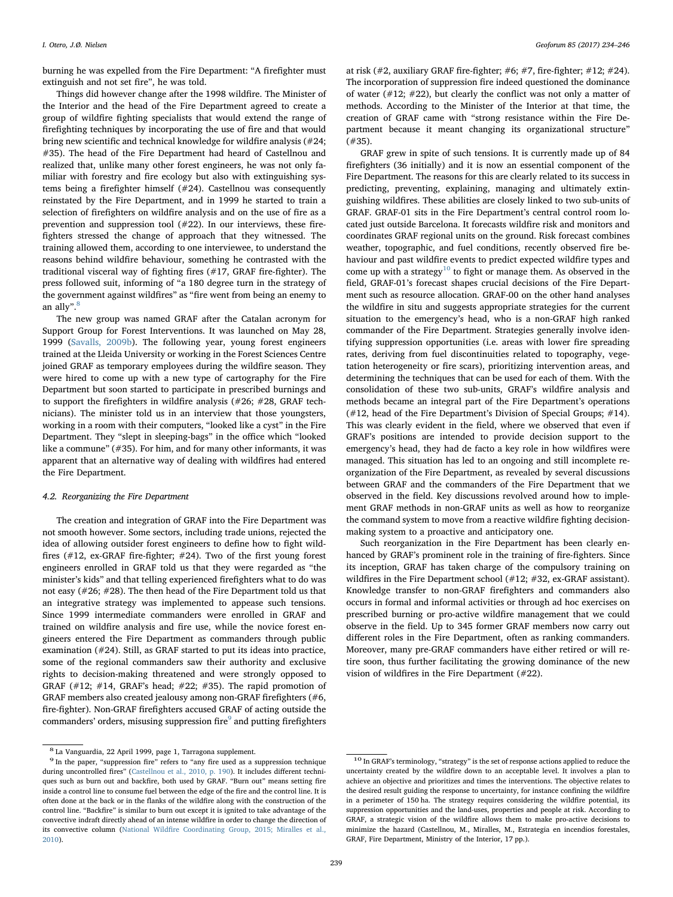burning he was expelled from the Fire Department: "A firefighter must extinguish and not set fire", he was told.

Things did however change after the 1998 wildfire. The Minister of the Interior and the head of the Fire Department agreed to create a group of wildfire fighting specialists that would extend the range of firefighting techniques by incorporating the use of fire and that would bring new scientific and technical knowledge for wildfire analysis (#24; #35). The head of the Fire Department had heard of Castellnou and realized that, unlike many other forest engineers, he was not only familiar with forestry and fire ecology but also with extinguishing systems being a firefighter himself (#24). Castellnou was consequently reinstated by the Fire Department, and in 1999 he started to train a selection of firefighters on wildfire analysis and on the use of fire as a prevention and suppression tool (#22). In our interviews, these firefighters stressed the change of approach that they witnessed. The training allowed them, according to one interviewee, to understand the reasons behind wildfire behaviour, something he contrasted with the traditional visceral way of fighting fires (#17, GRAF fire-fighter). The press followed suit, informing of "a 180 degree turn in the strategy of the government against wildfires" as "fire went from being an enemy to an ally". [8](#page-5-0)

The new group was named GRAF after the Catalan acronym for Support Group for Forest Interventions. It was launched on May 28, 1999 [\(Savalls, 2009b\)](#page-11-23). The following year, young forest engineers trained at the Lleida University or working in the Forest Sciences Centre joined GRAF as temporary employees during the wildfire season. They were hired to come up with a new type of cartography for the Fire Department but soon started to participate in prescribed burnings and to support the firefighters in wildfire analysis (#26; #28, GRAF technicians). The minister told us in an interview that those youngsters, working in a room with their computers, "looked like a cyst" in the Fire Department. They "slept in sleeping-bags" in the office which "looked like a commune" (#35). For him, and for many other informants, it was apparent that an alternative way of dealing with wildfires had entered the Fire Department.

### 4.2. Reorganizing the Fire Department

The creation and integration of GRAF into the Fire Department was not smooth however. Some sectors, including trade unions, rejected the idea of allowing outsider forest engineers to define how to fight wildfires (#12, ex-GRAF fire-fighter; #24). Two of the first young forest engineers enrolled in GRAF told us that they were regarded as "the minister's kids" and that telling experienced firefighters what to do was not easy (#26; #28). The then head of the Fire Department told us that an integrative strategy was implemented to appease such tensions. Since 1999 intermediate commanders were enrolled in GRAF and trained on wildfire analysis and fire use, while the novice forest engineers entered the Fire Department as commanders through public examination (#24). Still, as GRAF started to put its ideas into practice, some of the regional commanders saw their authority and exclusive rights to decision-making threatened and were strongly opposed to GRAF (#12; #14, GRAF's head; #22; #35). The rapid promotion of GRAF members also created jealousy among non-GRAF firefighters (#6, fire-fighter). Non-GRAF firefighters accused GRAF of acting outside the commanders' orders, misusing suppression fire $\degree$  and putting firefighters at risk (#2, auxiliary GRAF fire-fighter; #6; #7, fire-fighter; #12; #24). The incorporation of suppression fire indeed questioned the dominance of water (#12; #22), but clearly the conflict was not only a matter of methods. According to the Minister of the Interior at that time, the creation of GRAF came with "strong resistance within the Fire Department because it meant changing its organizational structure" (#35).

GRAF grew in spite of such tensions. It is currently made up of 84 firefighters (36 initially) and it is now an essential component of the Fire Department. The reasons for this are clearly related to its success in predicting, preventing, explaining, managing and ultimately extinguishing wildfires. These abilities are closely linked to two sub-units of GRAF. GRAF-01 sits in the Fire Department's central control room located just outside Barcelona. It forecasts wildfire risk and monitors and coordinates GRAF regional units on the ground. Risk forecast combines weather, topographic, and fuel conditions, recently observed fire behaviour and past wildfire events to predict expected wildfire types and come up with a strategy<sup>[10](#page-5-2)</sup> to fight or manage them. As observed in the field, GRAF-01's forecast shapes crucial decisions of the Fire Department such as resource allocation. GRAF-00 on the other hand analyses the wildfire in situ and suggests appropriate strategies for the current situation to the emergency's head, who is a non-GRAF high ranked commander of the Fire Department. Strategies generally involve identifying suppression opportunities (i.e. areas with lower fire spreading rates, deriving from fuel discontinuities related to topography, vegetation heterogeneity or fire scars), prioritizing intervention areas, and determining the techniques that can be used for each of them. With the consolidation of these two sub-units, GRAF's wildfire analysis and methods became an integral part of the Fire Department's operations (#12, head of the Fire Department's Division of Special Groups; #14). This was clearly evident in the field, where we observed that even if GRAF's positions are intended to provide decision support to the emergency's head, they had de facto a key role in how wildfires were managed. This situation has led to an ongoing and still incomplete reorganization of the Fire Department, as revealed by several discussions between GRAF and the commanders of the Fire Department that we observed in the field. Key discussions revolved around how to implement GRAF methods in non-GRAF units as well as how to reorganize the command system to move from a reactive wildfire fighting decisionmaking system to a proactive and anticipatory one.

Such reorganization in the Fire Department has been clearly enhanced by GRAF's prominent role in the training of fire-fighters. Since its inception, GRAF has taken charge of the compulsory training on wildfires in the Fire Department school (#12; #32, ex-GRAF assistant). Knowledge transfer to non-GRAF firefighters and commanders also occurs in formal and informal activities or through ad hoc exercises on prescribed burning or pro-active wildfire management that we could observe in the field. Up to 345 former GRAF members now carry out different roles in the Fire Department, often as ranking commanders. Moreover, many pre-GRAF commanders have either retired or will retire soon, thus further facilitating the growing dominance of the new vision of wildfires in the Fire Department (#22).

<span id="page-5-0"></span> $^{\rm 8}$  La Vanguardia, 22 April 1999, page 1, Tarragona supplement.

<span id="page-5-1"></span><sup>9</sup> In the paper, "suppression fire" refers to "any fire used as a suppression technique during uncontrolled fires" ([Castellnou et al., 2010, p. 190\)](#page-10-17). It includes different techniques such as burn out and backfire, both used by GRAF. "Burn out" means setting fire inside a control line to consume fuel between the edge of the fire and the control line. It is often done at the back or in the flanks of the wildfire along with the construction of the control line. "Backfire" is similar to burn out except it is ignited to take advantage of the convective indraft directly ahead of an intense wildfire in order to change the direction of its convective column (National Wildfi[re Coordinating Group, 2015; Miralles et al.,](#page-11-27) [2010\)](#page-11-27).

<span id="page-5-2"></span> $^{\rm 10}$  In GRAF's terminology, "strategy" is the set of response actions applied to reduce the uncertainty created by the wildfire down to an acceptable level. It involves a plan to achieve an objective and prioritizes and times the interventions. The objective relates to the desired result guiding the response to uncertainty, for instance confining the wildfire in a perimeter of 150 ha. The strategy requires considering the wildfire potential, its suppression opportunities and the land-uses, properties and people at risk. According to GRAF, a strategic vision of the wildfire allows them to make pro-active decisions to minimize the hazard (Castellnou, M., Miralles, M., Estrategia en incendios forestales, GRAF, Fire Department, Ministry of the Interior, 17 pp.).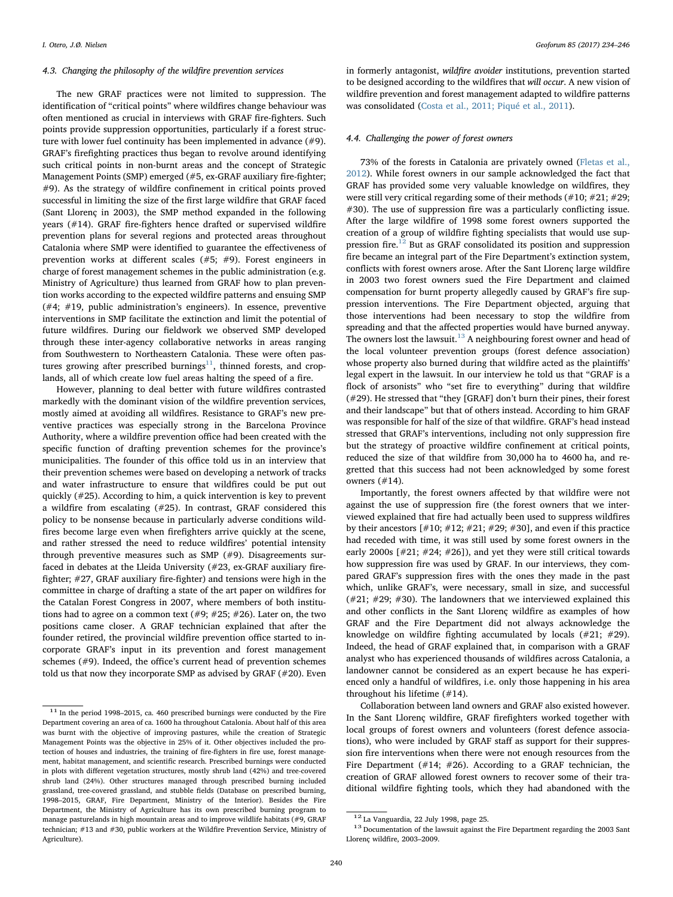#### <span id="page-6-3"></span>4.3. Changing the philosophy of the wildfire prevention services

The new GRAF practices were not limited to suppression. The identification of "critical points" where wildfires change behaviour was often mentioned as crucial in interviews with GRAF fire-fighters. Such points provide suppression opportunities, particularly if a forest structure with lower fuel continuity has been implemented in advance (#9). GRAF's firefighting practices thus began to revolve around identifying such critical points in non-burnt areas and the concept of Strategic Management Points (SMP) emerged (#5, ex-GRAF auxiliary fire-fighter; #9). As the strategy of wildfire confinement in critical points proved successful in limiting the size of the first large wildfire that GRAF faced (Sant Llorenç in 2003), the SMP method expanded in the following years (#14). GRAF fire-fighters hence drafted or supervised wildfire prevention plans for several regions and protected areas throughout Catalonia where SMP were identified to guarantee the effectiveness of prevention works at different scales (#5; #9). Forest engineers in charge of forest management schemes in the public administration (e.g. Ministry of Agriculture) thus learned from GRAF how to plan prevention works according to the expected wildfire patterns and ensuing SMP (#4; #19, public administration's engineers). In essence, preventive interventions in SMP facilitate the extinction and limit the potential of future wildfires. During our fieldwork we observed SMP developed through these inter-agency collaborative networks in areas ranging from Southwestern to Northeastern Catalonia. These were often pastures growing after prescribed burnings $^{11}$ , thinned forests, and croplands, all of which create low fuel areas halting the speed of a fire.

However, planning to deal better with future wildfires contrasted markedly with the dominant vision of the wildfire prevention services, mostly aimed at avoiding all wildfires. Resistance to GRAF's new preventive practices was especially strong in the Barcelona Province Authority, where a wildfire prevention office had been created with the specific function of drafting prevention schemes for the province's municipalities. The founder of this office told us in an interview that their prevention schemes were based on developing a network of tracks and water infrastructure to ensure that wildfires could be put out quickly (#25). According to him, a quick intervention is key to prevent a wildfire from escalating (#25). In contrast, GRAF considered this policy to be nonsense because in particularly adverse conditions wildfires become large even when firefighters arrive quickly at the scene, and rather stressed the need to reduce wildfires' potential intensity through preventive measures such as SMP (#9). Disagreements surfaced in debates at the Lleida University (#23, ex-GRAF auxiliary firefighter; #27, GRAF auxiliary fire-fighter) and tensions were high in the committee in charge of drafting a state of the art paper on wildfires for the Catalan Forest Congress in 2007, where members of both institutions had to agree on a common text  $(\#9; \#25; \#26)$ . Later on, the two positions came closer. A GRAF technician explained that after the founder retired, the provincial wildfire prevention office started to incorporate GRAF's input in its prevention and forest management schemes (#9). Indeed, the office's current head of prevention schemes told us that now they incorporate SMP as advised by GRAF (#20). Even in formerly antagonist, wildfire avoider institutions, prevention started to be designed according to the wildfires that will occur. A new vision of wildfire prevention and forest management adapted to wildfire patterns was consolidated ([Costa et al., 2011; Piqué et al., 2011\)](#page-10-15).

### 4.4. Challenging the power of forest owners

73% of the forests in Catalonia are privately owned [\(Fletas et al.,](#page-10-18) [2012\)](#page-10-18). While forest owners in our sample acknowledged the fact that GRAF has provided some very valuable knowledge on wildfires, they were still very critical regarding some of their methods (#10; #21; #29; #30). The use of suppression fire was a particularly conflicting issue. After the large wildfire of 1998 some forest owners supported the creation of a group of wildfire fighting specialists that would use suppression fire.[12](#page-6-1) But as GRAF consolidated its position and suppression fire became an integral part of the Fire Department's extinction system, conflicts with forest owners arose. After the Sant Llorenç large wildfire in 2003 two forest owners sued the Fire Department and claimed compensation for burnt property allegedly caused by GRAF's fire suppression interventions. The Fire Department objected, arguing that those interventions had been necessary to stop the wildfire from spreading and that the affected properties would have burned anyway. The owners lost the lawsuit. $13$  A neighbouring forest owner and head of the local volunteer prevention groups (forest defence association) whose property also burned during that wildfire acted as the plaintiffs' legal expert in the lawsuit. In our interview he told us that "GRAF is a flock of arsonists" who "set fire to everything" during that wildfire (#29). He stressed that "they [GRAF] don't burn their pines, their forest and their landscape" but that of others instead. According to him GRAF was responsible for half of the size of that wildfire. GRAF's head instead stressed that GRAF's interventions, including not only suppression fire but the strategy of proactive wildfire confinement at critical points, reduced the size of that wildfire from 30,000 ha to 4600 ha, and regretted that this success had not been acknowledged by some forest owners (#14).

Importantly, the forest owners affected by that wildfire were not against the use of suppression fire (the forest owners that we interviewed explained that fire had actually been used to suppress wildfires by their ancestors  $[#10; #12; #21; #29; #30]$ , and even if this practice had receded with time, it was still used by some forest owners in the early 2000s [#21; #24; #26]), and yet they were still critical towards how suppression fire was used by GRAF. In our interviews, they compared GRAF's suppression fires with the ones they made in the past which, unlike GRAF's, were necessary, small in size, and successful (#21; #29; #30). The landowners that we interviewed explained this and other conflicts in the Sant Llorenç wildfire as examples of how GRAF and the Fire Department did not always acknowledge the knowledge on wildfire fighting accumulated by locals (#21; #29). Indeed, the head of GRAF explained that, in comparison with a GRAF analyst who has experienced thousands of wildfires across Catalonia, a landowner cannot be considered as an expert because he has experienced only a handful of wildfires, i.e. only those happening in his area throughout his lifetime (#14).

Collaboration between land owners and GRAF also existed however. In the Sant Llorenç wildfire, GRAF firefighters worked together with local groups of forest owners and volunteers (forest defence associations), who were included by GRAF staff as support for their suppression fire interventions when there were not enough resources from the Fire Department ( $#14$ ;  $#26$ ). According to a GRAF technician, the creation of GRAF allowed forest owners to recover some of their traditional wildfire fighting tools, which they had abandoned with the

<span id="page-6-0"></span> $11$  In the period 1998–2015, ca. 460 prescribed burnings were conducted by the Fire Department covering an area of ca. 1600 ha throughout Catalonia. About half of this area was burnt with the objective of improving pastures, while the creation of Strategic Management Points was the objective in 25% of it. Other objectives included the protection of houses and industries, the training of fire-fighters in fire use, forest management, habitat management, and scientific research. Prescribed burnings were conducted in plots with different vegetation structures, mostly shrub land (42%) and tree-covered shrub land (24%). Other structures managed through prescribed burning included grassland, tree-covered grassland, and stubble fields (Database on prescribed burning, 1998–2015, GRAF, Fire Department, Ministry of the Interior). Besides the Fire Department, the Ministry of Agriculture has its own prescribed burning program to manage pasturelands in high mountain areas and to improve wildlife habitats (#9, GRAF technician; #13 and #30, public workers at the Wildfire Prevention Service, Ministry of Agriculture).

<span id="page-6-2"></span>

<span id="page-6-1"></span> $^{12}$  La Vanguardia, 22 July 1998, page 25. 13 Documentation of the lawsuit against the Fire Department regarding the 2003 Sant Llorenç wildfire, 2003–2009.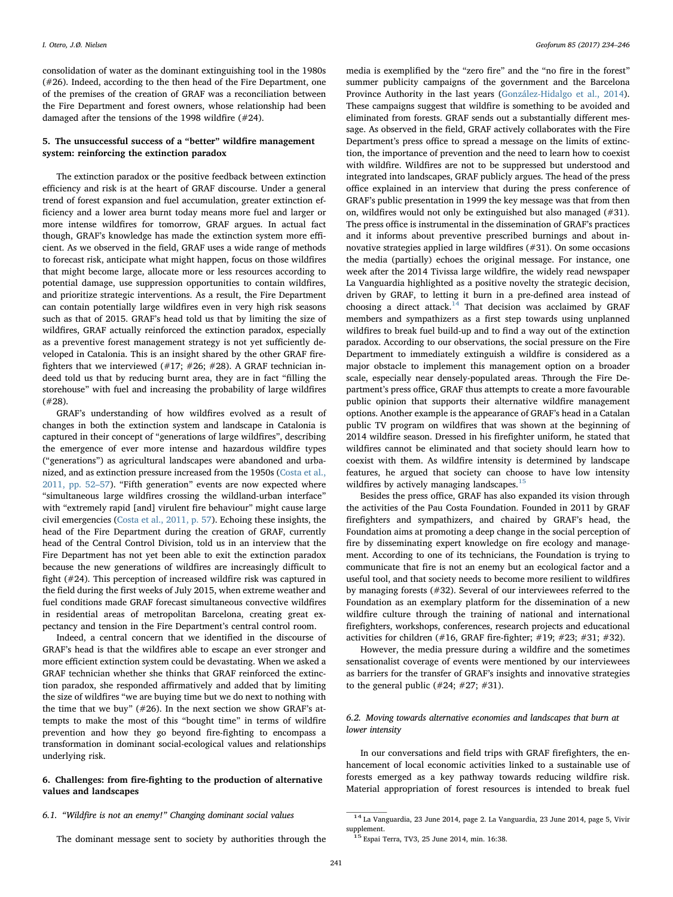consolidation of water as the dominant extinguishing tool in the 1980s (#26). Indeed, according to the then head of the Fire Department, one of the premises of the creation of GRAF was a reconciliation between the Fire Department and forest owners, whose relationship had been damaged after the tensions of the 1998 wildfire (#24).

## <span id="page-7-0"></span>5. The unsuccessful success of a "better" wildfire management system: reinforcing the extinction paradox

The extinction paradox or the positive feedback between extinction efficiency and risk is at the heart of GRAF discourse. Under a general trend of forest expansion and fuel accumulation, greater extinction efficiency and a lower area burnt today means more fuel and larger or more intense wildfires for tomorrow, GRAF argues. In actual fact though, GRAF's knowledge has made the extinction system more efficient. As we observed in the field, GRAF uses a wide range of methods to forecast risk, anticipate what might happen, focus on those wildfires that might become large, allocate more or less resources according to potential damage, use suppression opportunities to contain wildfires, and prioritize strategic interventions. As a result, the Fire Department can contain potentially large wildfires even in very high risk seasons such as that of 2015. GRAF's head told us that by limiting the size of wildfires, GRAF actually reinforced the extinction paradox, especially as a preventive forest management strategy is not yet sufficiently developed in Catalonia. This is an insight shared by the other GRAF firefighters that we interviewed  $(\#17; \#26; \#28)$ . A GRAF technician indeed told us that by reducing burnt area, they are in fact "filling the storehouse" with fuel and increasing the probability of large wildfires (#28).

GRAF's understanding of how wildfires evolved as a result of changes in both the extinction system and landscape in Catalonia is captured in their concept of "generations of large wildfires", describing the emergence of ever more intense and hazardous wildfire types ("generations") as agricultural landscapes were abandoned and urbanized, and as extinction pressure increased from the 1950s ([Costa et al.,](#page-10-15) [2011, pp. 52](#page-10-15)–57). "Fifth generation" events are now expected where "simultaneous large wildfires crossing the wildland-urban interface" with "extremely rapid [and] virulent fire behaviour" might cause large civil emergencies ([Costa et al., 2011, p. 57](#page-10-15)). Echoing these insights, the head of the Fire Department during the creation of GRAF, currently head of the Central Control Division, told us in an interview that the Fire Department has not yet been able to exit the extinction paradox because the new generations of wildfires are increasingly difficult to fight (#24). This perception of increased wildfire risk was captured in the field during the first weeks of July 2015, when extreme weather and fuel conditions made GRAF forecast simultaneous convective wildfires in residential areas of metropolitan Barcelona, creating great expectancy and tension in the Fire Department's central control room.

Indeed, a central concern that we identified in the discourse of GRAF's head is that the wildfires able to escape an ever stronger and more efficient extinction system could be devastating. When we asked a GRAF technician whether she thinks that GRAF reinforced the extinction paradox, she responded affirmatively and added that by limiting the size of wildfires "we are buying time but we do next to nothing with the time that we buy" (#26). In the next section we show GRAF's attempts to make the most of this "bought time" in terms of wildfire prevention and how they go beyond fire-fighting to encompass a transformation in dominant social-ecological values and relationships underlying risk.

## <span id="page-7-1"></span>6. Challenges: from fire-fighting to the production of alternative values and landscapes

media is exemplified by the "zero fire" and the "no fire in the forest" summer publicity campaigns of the government and the Barcelona Province Authority in the last years [\(González-Hidalgo et al., 2014](#page-11-28)). These campaigns suggest that wildfire is something to be avoided and eliminated from forests. GRAF sends out a substantially different message. As observed in the field, GRAF actively collaborates with the Fire Department's press office to spread a message on the limits of extinction, the importance of prevention and the need to learn how to coexist with wildfire. Wildfires are not to be suppressed but understood and integrated into landscapes, GRAF publicly argues. The head of the press office explained in an interview that during the press conference of GRAF's public presentation in 1999 the key message was that from then on, wildfires would not only be extinguished but also managed (#31). The press office is instrumental in the dissemination of GRAF's practices and it informs about preventive prescribed burnings and about innovative strategies applied in large wildfires (#31). On some occasions the media (partially) echoes the original message. For instance, one week after the 2014 Tivissa large wildfire, the widely read newspaper La Vanguardia highlighted as a positive novelty the strategic decision, driven by GRAF, to letting it burn in a pre-defined area instead of choosing a direct attack.<sup>[14](#page-7-2)</sup> That decision was acclaimed by GRAF members and sympathizers as a first step towards using unplanned wildfires to break fuel build-up and to find a way out of the extinction paradox. According to our observations, the social pressure on the Fire Department to immediately extinguish a wildfire is considered as a major obstacle to implement this management option on a broader scale, especially near densely-populated areas. Through the Fire Department's press office, GRAF thus attempts to create a more favourable public opinion that supports their alternative wildfire management options. Another example is the appearance of GRAF's head in a Catalan public TV program on wildfires that was shown at the beginning of 2014 wildfire season. Dressed in his firefighter uniform, he stated that wildfires cannot be eliminated and that society should learn how to coexist with them. As wildfire intensity is determined by landscape features, he argued that society can choose to have low intensity wildfires by actively managing landscapes.<sup>[15](#page-7-3)</sup>

Besides the press office, GRAF has also expanded its vision through the activities of the Pau Costa Foundation. Founded in 2011 by GRAF firefighters and sympathizers, and chaired by GRAF's head, the Foundation aims at promoting a deep change in the social perception of fire by disseminating expert knowledge on fire ecology and management. According to one of its technicians, the Foundation is trying to communicate that fire is not an enemy but an ecological factor and a useful tool, and that society needs to become more resilient to wildfires by managing forests (#32). Several of our interviewees referred to the Foundation as an exemplary platform for the dissemination of a new wildfire culture through the training of national and international firefighters, workshops, conferences, research projects and educational activities for children (#16, GRAF fire-fighter; #19; #23; #31; #32).

However, the media pressure during a wildfire and the sometimes sensationalist coverage of events were mentioned by our interviewees as barriers for the transfer of GRAF's insights and innovative strategies to the general public  $(\#24; \#27; \#31)$ .

## 6.2. Moving towards alternative economies and landscapes that burn at lower intensity

In our conversations and field trips with GRAF firefighters, the enhancement of local economic activities linked to a sustainable use of forests emerged as a key pathway towards reducing wildfire risk. Material appropriation of forest resources is intended to break fuel

The dominant message sent to society by authorities through the

<span id="page-7-2"></span> $^{\rm 14}$  La Vanguardia, 23 June 2014, page 2. La Vanguardia, 23 June 2014, page 5, Vivir

<span id="page-7-3"></span>supplement. <sup>15</sup> Espai Terra, TV3, 25 June 2014, min. 16:38.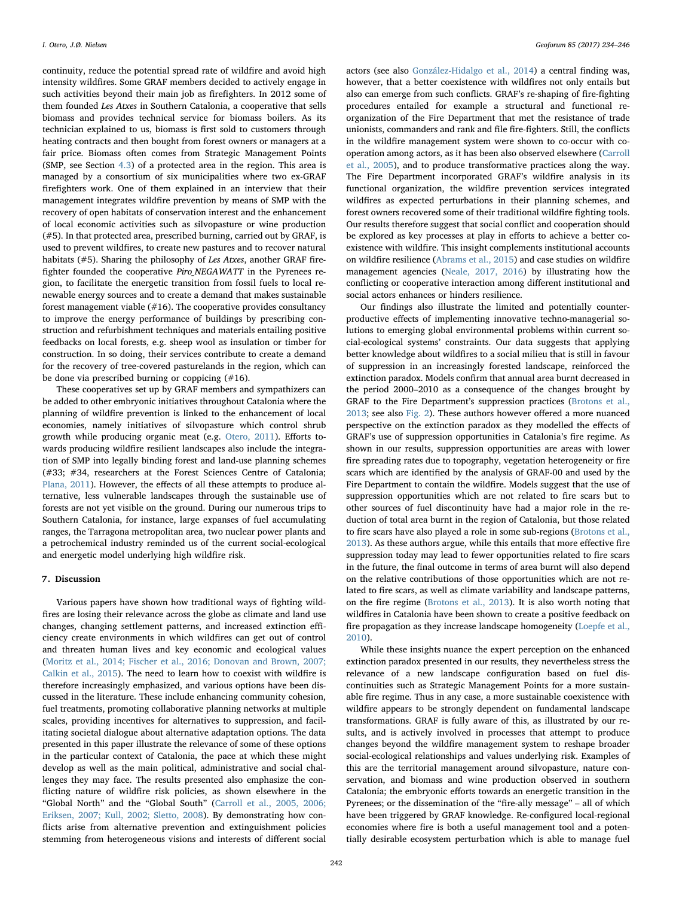continuity, reduce the potential spread rate of wildfire and avoid high intensity wildfires. Some GRAF members decided to actively engage in such activities beyond their main job as firefighters. In 2012 some of them founded Les Atxes in Southern Catalonia, a cooperative that sells biomass and provides technical service for biomass boilers. As its technician explained to us, biomass is first sold to customers through heating contracts and then bought from forest owners or managers at a fair price. Biomass often comes from Strategic Management Points (SMP, see Section [4.3](#page-6-3)) of a protected area in the region. This area is managed by a consortium of six municipalities where two ex-GRAF firefighters work. One of them explained in an interview that their management integrates wildfire prevention by means of SMP with the recovery of open habitats of conservation interest and the enhancement of local economic activities such as silvopasture or wine production (#5). In that protected area, prescribed burning, carried out by GRAF, is used to prevent wildfires, to create new pastures and to recover natural habitats (#5). Sharing the philosophy of Les Atxes, another GRAF firefighter founded the cooperative Piro\_NEGAWATT in the Pyrenees region, to facilitate the energetic transition from fossil fuels to local renewable energy sources and to create a demand that makes sustainable forest management viable (#16). The cooperative provides consultancy to improve the energy performance of buildings by prescribing construction and refurbishment techniques and materials entailing positive feedbacks on local forests, e.g. sheep wool as insulation or timber for construction. In so doing, their services contribute to create a demand for the recovery of tree-covered pasturelands in the region, which can be done via prescribed burning or coppicing (#16).

These cooperatives set up by GRAF members and sympathizers can be added to other embryonic initiatives throughout Catalonia where the planning of wildfire prevention is linked to the enhancement of local economies, namely initiatives of silvopasture which control shrub growth while producing organic meat (e.g. [Otero, 2011](#page-11-26)). Efforts towards producing wildfire resilient landscapes also include the integration of SMP into legally binding forest and land-use planning schemes (#33; #34, researchers at the Forest Sciences Centre of Catalonia; [Plana, 2011](#page-11-29)). However, the effects of all these attempts to produce alternative, less vulnerable landscapes through the sustainable use of forests are not yet visible on the ground. During our numerous trips to Southern Catalonia, for instance, large expanses of fuel accumulating ranges, the Tarragona metropolitan area, two nuclear power plants and a petrochemical industry reminded us of the current social-ecological and energetic model underlying high wildfire risk.

### <span id="page-8-0"></span>7. Discussion

Various papers have shown how traditional ways of fighting wildfires are losing their relevance across the globe as climate and land use changes, changing settlement patterns, and increased extinction efficiency create environments in which wildfires can get out of control and threaten human lives and key economic and ecological values ([Moritz et al., 2014; Fischer et al., 2016; Donovan and Brown, 2007;](#page-11-14) [Calkin et al., 2015](#page-11-14)). The need to learn how to coexist with wildfire is therefore increasingly emphasized, and various options have been discussed in the literature. These include enhancing community cohesion, fuel treatments, promoting collaborative planning networks at multiple scales, providing incentives for alternatives to suppression, and facilitating societal dialogue about alternative adaptation options. The data presented in this paper illustrate the relevance of some of these options in the particular context of Catalonia, the pace at which these might develop as well as the main political, administrative and social challenges they may face. The results presented also emphasize the conflicting nature of wildfire risk policies, as shown elsewhere in the "Global North" and the "Global South" [\(Carroll et al., 2005, 2006;](#page-10-19) [Eriksen, 2007; Kull, 2002; Sletto, 2008\)](#page-10-19). By demonstrating how conflicts arise from alternative prevention and extinguishment policies stemming from heterogeneous visions and interests of different social

actors (see also [González-Hidalgo et al., 2014\)](#page-11-28) a central finding was, however, that a better coexistence with wildfires not only entails but also can emerge from such conflicts. GRAF's re-shaping of fire-fighting procedures entailed for example a structural and functional reorganization of the Fire Department that met the resistance of trade unionists, commanders and rank and file fire-fighters. Still, the conflicts in the wildfire management system were shown to co-occur with cooperation among actors, as it has been also observed elsewhere [\(Carroll](#page-10-19) [et al., 2005](#page-10-19)), and to produce transformative practices along the way. The Fire Department incorporated GRAF's wildfire analysis in its functional organization, the wildfire prevention services integrated wildfires as expected perturbations in their planning schemes, and forest owners recovered some of their traditional wildfire fighting tools. Our results therefore suggest that social conflict and cooperation should be explored as key processes at play in efforts to achieve a better coexistence with wildfire. This insight complements institutional accounts on wildfire resilience [\(Abrams et al., 2015\)](#page-10-9) and case studies on wildfire management agencies ([Neale, 2017, 2016](#page-11-30)) by illustrating how the conflicting or cooperative interaction among different institutional and social actors enhances or hinders resilience.

Our findings also illustrate the limited and potentially counterproductive effects of implementing innovative techno-managerial solutions to emerging global environmental problems within current social-ecological systems' constraints. Our data suggests that applying better knowledge about wildfires to a social milieu that is still in favour of suppression in an increasingly forested landscape, reinforced the extinction paradox. Models confirm that annual area burnt decreased in the period 2000–2010 as a consequence of the changes brought by GRAF to the Fire Department's suppression practices [\(Brotons et al.,](#page-10-14) [2013;](#page-10-14) see also [Fig. 2\)](#page-3-0). These authors however offered a more nuanced perspective on the extinction paradox as they modelled the effects of GRAF's use of suppression opportunities in Catalonia's fire regime. As shown in our results, suppression opportunities are areas with lower fire spreading rates due to topography, vegetation heterogeneity or fire scars which are identified by the analysis of GRAF-00 and used by the Fire Department to contain the wildfire. Models suggest that the use of suppression opportunities which are not related to fire scars but to other sources of fuel discontinuity have had a major role in the reduction of total area burnt in the region of Catalonia, but those related to fire scars have also played a role in some sub-regions ([Brotons et al.,](#page-10-14) [2013\)](#page-10-14). As these authors argue, while this entails that more effective fire suppression today may lead to fewer opportunities related to fire scars in the future, the final outcome in terms of area burnt will also depend on the relative contributions of those opportunities which are not related to fire scars, as well as climate variability and landscape patterns, on the fire regime ([Brotons et al., 2013\)](#page-10-14). It is also worth noting that wildfires in Catalonia have been shown to create a positive feedback on fire propagation as they increase landscape homogeneity [\(Loepfe et al.,](#page-11-31) [2010\)](#page-11-31).

While these insights nuance the expert perception on the enhanced extinction paradox presented in our results, they nevertheless stress the relevance of a new landscape configuration based on fuel discontinuities such as Strategic Management Points for a more sustainable fire regime. Thus in any case, a more sustainable coexistence with wildfire appears to be strongly dependent on fundamental landscape transformations. GRAF is fully aware of this, as illustrated by our results, and is actively involved in processes that attempt to produce changes beyond the wildfire management system to reshape broader social-ecological relationships and values underlying risk. Examples of this are the territorial management around silvopasture, nature conservation, and biomass and wine production observed in southern Catalonia; the embryonic efforts towards an energetic transition in the Pyrenees; or the dissemination of the "fire-ally message" – all of which have been triggered by GRAF knowledge. Re-configured local-regional economies where fire is both a useful management tool and a potentially desirable ecosystem perturbation which is able to manage fuel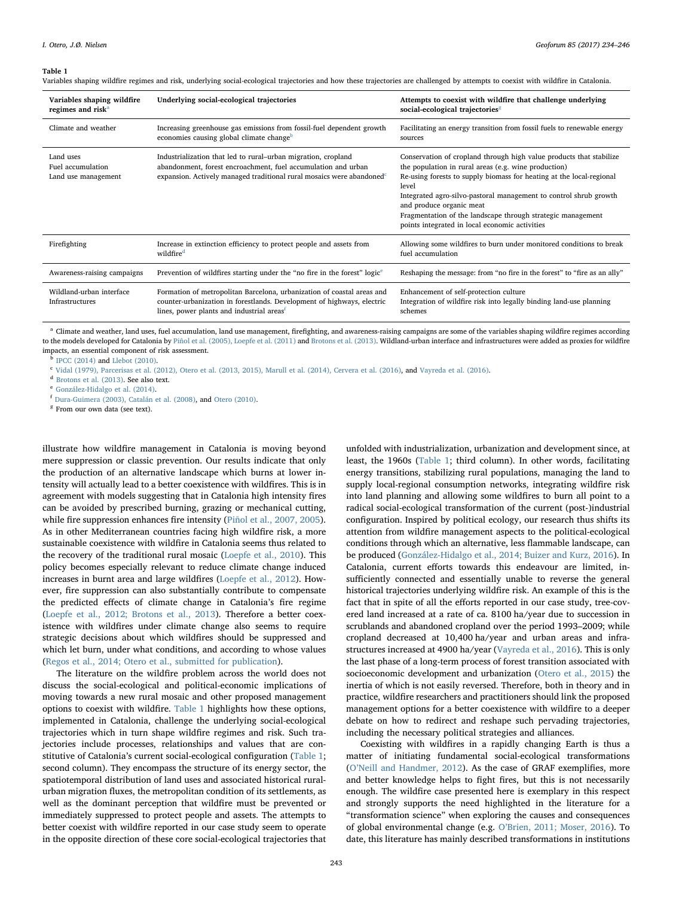#### <span id="page-9-0"></span>Table 1

Variables shaping wildfire regimes and risk, underlying social-ecological trajectories and how these trajectories are challenged by attempts to coexist with wildfire in Catalonia.

| Variables shaping wildfire<br>regimes and risk <sup>a</sup> | Underlying social-ecological trajectories                                                                                                                                                                           | Attempts to coexist with wildfire that challenge underlying<br>social-ecological trajectories <sup>8</sup>                                                                                                                                                                                                                                                                                                                     |
|-------------------------------------------------------------|---------------------------------------------------------------------------------------------------------------------------------------------------------------------------------------------------------------------|--------------------------------------------------------------------------------------------------------------------------------------------------------------------------------------------------------------------------------------------------------------------------------------------------------------------------------------------------------------------------------------------------------------------------------|
| Climate and weather                                         | Increasing greenhouse gas emissions from fossil-fuel dependent growth<br>economies causing global climate change <sup>b</sup>                                                                                       | Facilitating an energy transition from fossil fuels to renewable energy<br>sources                                                                                                                                                                                                                                                                                                                                             |
| Land uses<br>Fuel accumulation<br>Land use management       | Industrialization that led to rural-urban migration, cropland<br>abandonment, forest encroachment, fuel accumulation and urban<br>expansion. Actively managed traditional rural mosaics were abandoned <sup>c</sup> | Conservation of cropland through high value products that stabilize<br>the population in rural areas (e.g. wine production)<br>Re-using forests to supply biomass for heating at the local-regional<br>level<br>Integrated agro-silvo-pastoral management to control shrub growth<br>and produce organic meat<br>Fragmentation of the landscape through strategic management<br>points integrated in local economic activities |
| Firefighting                                                | Increase in extinction efficiency to protect people and assets from<br>wildfire <sup>d</sup>                                                                                                                        | Allowing some wildfires to burn under monitored conditions to break<br>fuel accumulation                                                                                                                                                                                                                                                                                                                                       |
| Awareness-raising campaigns                                 | Prevention of wildfires starting under the "no fire in the forest" $logice$                                                                                                                                         | Reshaping the message: from "no fire in the forest" to "fire as an ally"                                                                                                                                                                                                                                                                                                                                                       |
| Wildland-urban interface<br>Infrastructures                 | Formation of metropolitan Barcelona, urbanization of coastal areas and<br>counter-urbanization in forestlands. Development of highways, electric<br>lines, power plants and industrial areas <sup>1</sup>           | Enhancement of self-protection culture<br>Integration of wildfire risk into legally binding land-use planning<br>schemes                                                                                                                                                                                                                                                                                                       |

<span id="page-9-1"></span><sup>a</sup> Climate and weather, land uses, fuel accumulation, land use management, firefighting, and awareness-raising campaigns are some of the variables shaping wildfire regimes according to the models developed for Catalonia by [Piñol et al. \(2005\), Loepfe et al. \(2011\)](#page-11-36) and [Brotons et al. \(2013\)](#page-10-14). Wildland-urban interface and infrastructures were added as proxies for wildfire impacts, an essential component of risk assessment.

<span id="page-9-3"></span> $<sup>b</sup>$  [IPCC \(2014\)](#page-11-37) and [Llebot \(2010\)](#page-11-38).</sup>

<span id="page-9-4"></span><sup>c</sup> [Vidal \(1979\), Parcerisas et al. \(2012\), Otero et al. \(2013, 2015\), Marull et al. \(2014\), Cervera et al. \(2016\)](#page-12-4), and [Vayreda et al. \(2016\).](#page-12-3)

<span id="page-9-5"></span><sup>d</sup> [Brotons et al. \(2013\)](#page-10-14). See also text.

<span id="page-9-6"></span><sup>e</sup> [González-Hidalgo et al. \(2014\)](#page-11-28).

<span id="page-9-7"></span><sup>f</sup> [Dura-Guimera \(2003\), Catalán et al. \(2008\)](#page-10-20), and [Otero \(2010\).](#page-11-39)

<span id="page-9-2"></span><sup>g</sup> From our own data (see text).

illustrate how wildfire management in Catalonia is moving beyond mere suppression or classic prevention. Our results indicate that only the production of an alternative landscape which burns at lower intensity will actually lead to a better coexistence with wildfires. This is in agreement with models suggesting that in Catalonia high intensity fires can be avoided by prescribed burning, grazing or mechanical cutting, while fire suppression enhances fire intensity [\(Piñol et al., 2007, 2005](#page-11-32)). As in other Mediterranean countries facing high wildfire risk, a more sustainable coexistence with wildfire in Catalonia seems thus related to the recovery of the traditional rural mosaic ([Loepfe et al., 2010\)](#page-11-31). This policy becomes especially relevant to reduce climate change induced increases in burnt area and large wildfires ([Loepfe et al., 2012\)](#page-11-33). However, fire suppression can also substantially contribute to compensate the predicted effects of climate change in Catalonia's fire regime ([Loepfe et al., 2012; Brotons et al., 2013\)](#page-11-33). Therefore a better coexistence with wildfires under climate change also seems to require strategic decisions about which wildfires should be suppressed and which let burn, under what conditions, and according to whose values ([Regos et al., 2014; Otero et al., submitted for publication](#page-11-34)).

The literature on the wildfire problem across the world does not discuss the social-ecological and political-economic implications of moving towards a new rural mosaic and other proposed management options to coexist with wildfire. [Table 1](#page-9-0) highlights how these options, implemented in Catalonia, challenge the underlying social-ecological trajectories which in turn shape wildfire regimes and risk. Such trajectories include processes, relationships and values that are constitutive of Catalonia's current social-ecological configuration [\(Table 1](#page-9-0); second column). They encompass the structure of its energy sector, the spatiotemporal distribution of land uses and associated historical ruralurban migration fluxes, the metropolitan condition of its settlements, as well as the dominant perception that wildfire must be prevented or immediately suppressed to protect people and assets. The attempts to better coexist with wildfire reported in our case study seem to operate in the opposite direction of these core social-ecological trajectories that unfolded with industrialization, urbanization and development since, at least, the 1960s ([Table 1](#page-9-0); third column). In other words, facilitating energy transitions, stabilizing rural populations, managing the land to supply local-regional consumption networks, integrating wildfire risk into land planning and allowing some wildfires to burn all point to a radical social-ecological transformation of the current (post-)industrial configuration. Inspired by political ecology, our research thus shifts its attention from wildfire management aspects to the political-ecological conditions through which an alternative, less flammable landscape, can be produced [\(González-Hidalgo et al., 2014; Buizer and Kurz, 2016](#page-11-28)). In Catalonia, current efforts towards this endeavour are limited, insufficiently connected and essentially unable to reverse the general historical trajectories underlying wildfire risk. An example of this is the fact that in spite of all the efforts reported in our case study, tree-covered land increased at a rate of ca. 8100 ha/year due to succession in scrublands and abandoned cropland over the period 1993–2009; while cropland decreased at 10,400 ha/year and urban areas and infrastructures increased at 4900 ha/year [\(Vayreda et al., 2016\)](#page-12-3). This is only the last phase of a long-term process of forest transition associated with socioeconomic development and urbanization [\(Otero et al., 2015\)](#page-11-35) the inertia of which is not easily reversed. Therefore, both in theory and in practice, wildfire researchers and practitioners should link the proposed management options for a better coexistence with wildfire to a deeper debate on how to redirect and reshape such pervading trajectories, including the necessary political strategies and alliances.

Coexisting with wildfires in a rapidly changing Earth is thus a matter of initiating fundamental social-ecological transformations (O'[Neill and Handmer, 2012](#page-11-10)). As the case of GRAF exemplifies, more and better knowledge helps to fight fires, but this is not necessarily enough. The wildfire case presented here is exemplary in this respect and strongly supports the need highlighted in the literature for a "transformation science" when exploring the causes and consequences of global environmental change (e.g. O'[Brien, 2011; Moser, 2016\)](#page-11-2). To date, this literature has mainly described transformations in institutions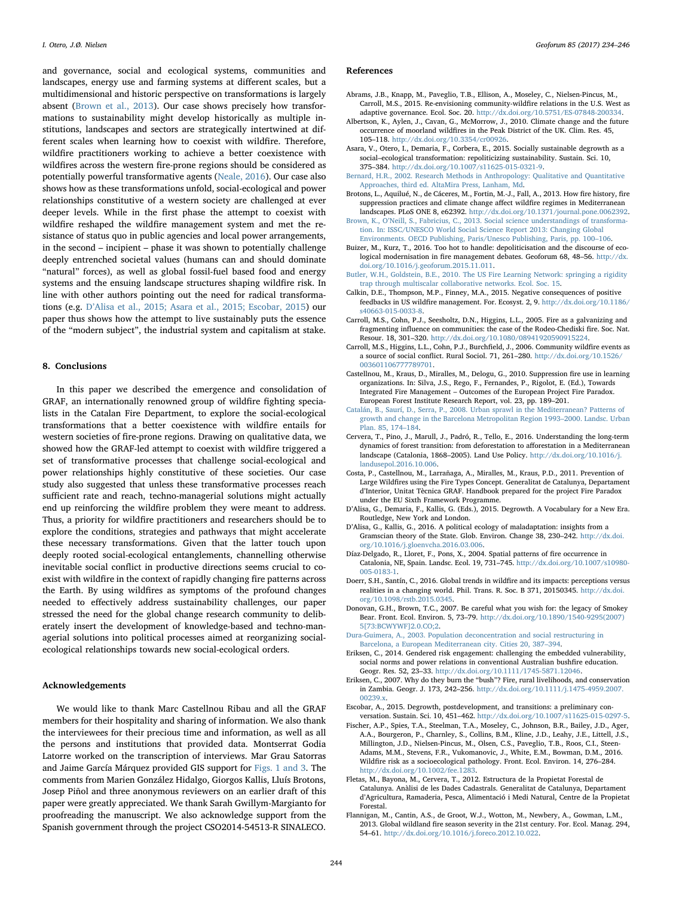and governance, social and ecological systems, communities and landscapes, energy use and farming systems at different scales, but a multidimensional and historic perspective on transformations is largely absent ([Brown et al., 2013\)](#page-10-21). Our case shows precisely how transformations to sustainability might develop historically as multiple institutions, landscapes and sectors are strategically intertwined at different scales when learning how to coexist with wildfire. Therefore, wildfire practitioners working to achieve a better coexistence with wildfires across the western fire-prone regions should be considered as potentially powerful transformative agents ([Neale, 2016\)](#page-11-40). Our case also shows how as these transformations unfold, social-ecological and power relationships constitutive of a western society are challenged at ever deeper levels. While in the first phase the attempt to coexist with wildfire reshaped the wildfire management system and met the resistance of status quo in public agencies and local power arrangements, in the second – incipient – phase it was shown to potentially challenge deeply entrenched societal values (humans can and should dominate "natural" forces), as well as global fossil-fuel based food and energy systems and the ensuing landscape structures shaping wildfire risk. In line with other authors pointing out the need for radical transformations (e.g. D'[Alisa et al., 2015; Asara et al., 2015; Escobar, 2015\)](#page-10-22) our paper thus shows how the attempt to live sustainably puts the essence of the "modern subject", the industrial system and capitalism at stake.

#### <span id="page-10-3"></span>8. Conclusions

In this paper we described the emergence and consolidation of GRAF, an internationally renowned group of wildfire fighting specialists in the Catalan Fire Department, to explore the social-ecological transformations that a better coexistence with wildfire entails for western societies of fire-prone regions. Drawing on qualitative data, we showed how the GRAF-led attempt to coexist with wildfire triggered a set of transformative processes that challenge social-ecological and power relationships highly constitutive of these societies. Our case study also suggested that unless these transformative processes reach sufficient rate and reach, techno-managerial solutions might actually end up reinforcing the wildfire problem they were meant to address. Thus, a priority for wildfire practitioners and researchers should be to explore the conditions, strategies and pathways that might accelerate these necessary transformations. Given that the latter touch upon deeply rooted social-ecological entanglements, channelling otherwise inevitable social conflict in productive directions seems crucial to coexist with wildfire in the context of rapidly changing fire patterns across the Earth. By using wildfires as symptoms of the profound changes needed to effectively address sustainability challenges, our paper stressed the need for the global change research community to deliberately insert the development of knowledge-based and techno-managerial solutions into political processes aimed at reorganizing socialecological relationships towards new social-ecological orders.

### Acknowledgements

We would like to thank Marc Castellnou Ribau and all the GRAF members for their hospitality and sharing of information. We also thank the interviewees for their precious time and information, as well as all the persons and institutions that provided data. Montserrat Godia Latorre worked on the transcription of interviews. Mar Grau Satorras and Jaime García Márquez provided GIS support for [Figs. 1 and 3.](#page-2-1) The comments from Marien González Hidalgo, Giorgos Kallis, Lluís Brotons, Josep Piñol and three anonymous reviewers on an earlier draft of this paper were greatly appreciated. We thank Sarah Gwillym-Margianto for proofreading the manuscript. We also acknowledge support from the Spanish government through the project CSO2014-54513-R SINALECO.

#### References

- <span id="page-10-9"></span>Abrams, J.B., Knapp, M., Paveglio, T.B., Ellison, A., Moseley, C., Nielsen-Pincus, M., Carroll, M.S., 2015. Re-envisioning community-wildfire relations in the U.S. West as adaptive governance. Ecol. Soc. 20. <http://dx.doi.org/10.5751/ES-07848-200334>.
- <span id="page-10-5"></span>Albertson, K., Aylen, J., Cavan, G., McMorrow, J., 2010. Climate change and the future occurrence of moorland wildfires in the Peak District of the UK. Clim. Res. 45, 105–118. <http://dx.doi.org/10.3354/cr00926>.
- <span id="page-10-1"></span>Asara, V., Otero, I., Demaria, F., Corbera, E., 2015. Socially sustainable degrowth as a social–ecological transformation: repoliticizing sustainability. Sustain. Sci. 10, 375–384. <http://dx.doi.org/10.1007/s11625-015-0321-9>.
- <span id="page-10-16"></span>[Bernard, H.R., 2002. Research Methods in Anthropology: Qualitative and Quantitative](http://refhub.elsevier.com/S0016-7185(17)30219-1/h0020) [Approaches, third ed. AltaMira Press, Lanham, Md.](http://refhub.elsevier.com/S0016-7185(17)30219-1/h0020)
- <span id="page-10-14"></span>Brotons, L., Aquilué, N., de Cáceres, M., Fortin, M.-J., Fall, A., 2013. How fire history, fire suppression practices and climate change affect wildfire regimes in Mediterranean landscapes. PLoS ONE 8, e62392. [http://dx.doi.org/10.1371/journal.pone.0062392.](http://dx.doi.org/10.1371/journal.pone.0062392)
- <span id="page-10-21"></span>Brown, K., O'[Neill, S., Fabricius, C., 2013. Social science understandings of transforma](http://refhub.elsevier.com/S0016-7185(17)30219-1/h0035)[tion. In: ISSC/UNESCO World Social Science Report 2013: Changing Global](http://refhub.elsevier.com/S0016-7185(17)30219-1/h0035) [Environments. OECD Publishing, Paris/Unesco Publishing, Paris, pp. 100](http://refhub.elsevier.com/S0016-7185(17)30219-1/h0035)–106.
- Buizer, M., Kurz, T., 2016. Too hot to handle: depoliticisation and the discourse of ecological modernisation in fire management debates. Geoforum 68, 48–56. [http://dx.](http://dx.doi.org/10.1016/j.geoforum.2015.11.011) [doi.org/10.1016/j.geoforum.2015.11.011.](http://dx.doi.org/10.1016/j.geoforum.2015.11.011)
- <span id="page-10-10"></span>[Butler, W.H., Goldstein, B.E., 2010. The US Fire Learning Network: springing a rigidity](http://refhub.elsevier.com/S0016-7185(17)30219-1/h0045) [trap through multiscalar collaborative networks. Ecol. Soc. 15.](http://refhub.elsevier.com/S0016-7185(17)30219-1/h0045)
- <span id="page-10-12"></span>Calkin, D.E., Thompson, M.P., Finney, M.A., 2015. Negative consequences of positive feedbacks in US wildfire management. For. Ecosyst. 2, 9. [http://dx.doi.org/10.1186/](http://dx.doi.org/10.1186/s40663-015-0033-8) [s40663-015-0033-8.](http://dx.doi.org/10.1186/s40663-015-0033-8)
- <span id="page-10-19"></span>Carroll, M.S., Cohn, P.J., Seesholtz, D.N., Higgins, L.L., 2005. Fire as a galvanizing and fragmenting influence on communities: the case of the Rodeo-Chediski fire. Soc. Nat. Resour. 18, 301–320. <http://dx.doi.org/10.1080/08941920590915224>.
- Carroll, M.S., Higgins, L.L., Cohn, P.J., Burchfield, J., 2006. Community wildfire events as a source of social conflict. Rural Sociol. 71, 261–280. [http://dx.doi.org/10.1526/](http://dx.doi.org/10.1526/003601106777789701) [003601106777789701](http://dx.doi.org/10.1526/003601106777789701).
- <span id="page-10-17"></span>Castellnou, M., Kraus, D., Miralles, M., Delogu, G., 2010. Suppression fire use in learning organizations. In: Silva, J.S., Rego, F., Fernandes, P., Rigolot, E. (Ed.), Towards Integrated Fire Management – Outcomes of the European Project Fire Paradox. European Forest Institute Research Report, vol. 23, pp. 189–201.
- Catalán, [B., Saurí, D., Serra, P., 2008. Urban sprawl in the Mediterranean? Patterns of](http://refhub.elsevier.com/S0016-7185(17)30219-1/h0065) [growth and change in the Barcelona Metropolitan Region 1993](http://refhub.elsevier.com/S0016-7185(17)30219-1/h0065)–2000. Landsc. Urban [Plan. 85, 174](http://refhub.elsevier.com/S0016-7185(17)30219-1/h0065)–184.
- Cervera, T., Pino, J., Marull, J., Padró, R., Tello, E., 2016. Understanding the long-term dynamics of forest transition: from deforestation to afforestation in a Mediterranean landscape (Catalonia, 1868–2005). Land Use Policy. [http://dx.doi.org/10.1016/j.](http://dx.doi.org/10.1016/j.landusepol.2016.10.006) [landusepol.2016.10.006.](http://dx.doi.org/10.1016/j.landusepol.2016.10.006)
- <span id="page-10-15"></span>Costa, P., Castellnou, M., Larrañaga, A., Miralles, M., Kraus, P.D., 2011. Prevention of Large Wildfires using the Fire Types Concept. Generalitat de Catalunya, Departament d'Interior, Unitat Tècnica GRAF. Handbook prepared for the project Fire Paradox under the EU Sixth Framework Programme.
- <span id="page-10-22"></span>D'Alisa, G., Demaria, F., Kallis, G. (Eds.), 2015. Degrowth. A Vocabulary for a New Era. Routledge, New York and London.
- <span id="page-10-0"></span>D'Alisa, G., Kallis, G., 2016. A political ecology of maladaptation: insights from a Gramscian theory of the State. Glob. Environ. Change 38, 230–242. [http://dx.doi.](http://dx.doi.org/10.1016/j.gloenvcha.2016.03.006) [org/10.1016/j.gloenvcha.2016.03.006](http://dx.doi.org/10.1016/j.gloenvcha.2016.03.006).

<span id="page-10-13"></span>Díaz-Delgado, R., Lloret, F., Pons, X., 2004. Spatial patterns of fire occurrence in Catalonia, NE, Spain. Landsc. Ecol. 19, 731–745. [http://dx.doi.org/10.1007/s10980-](http://dx.doi.org/10.1007/s10980-005-0183-1) [005-0183-1](http://dx.doi.org/10.1007/s10980-005-0183-1).

- <span id="page-10-6"></span>Doerr, S.H., Santín, C., 2016. Global trends in wildfire and its impacts: perceptions versus realities in a changing world. Phil. Trans. R. Soc. B 371, 20150345. [http://dx.doi.](http://dx.doi.org/10.1098/rstb.2015.0345) [org/10.1098/rstb.2015.0345](http://dx.doi.org/10.1098/rstb.2015.0345).
- <span id="page-10-11"></span>Donovan, G.H., Brown, T.C., 2007. Be careful what you wish for: the legacy of Smokey Bear. Front. Ecol. Environ. 5, 73–79. [http://dx.doi.org/10.1890/1540-9295\(2007\)](http://dx.doi.org/10.1890/1540-9295(2007) 5[73:BCWYWF]2.0.CO;2) [5\[73:BCWYWF\]2.0.CO;2](http://dx.doi.org/10.1890/1540-9295(2007) 5[73:BCWYWF]2.0.CO;2).
- <span id="page-10-20"></span>[Dura-Guimera, A., 2003. Population deconcentration and social restructuring in](http://refhub.elsevier.com/S0016-7185(17)30219-1/h0105) [Barcelona, a European Mediterranean city. Cities 20, 387](http://refhub.elsevier.com/S0016-7185(17)30219-1/h0105)–394.
- <span id="page-10-8"></span>Eriksen, C., 2014. Gendered risk engagement: challenging the embedded vulnerability, social norms and power relations in conventional Australian bushfire education. Geogr. Res. 52, 23–33. [http://dx.doi.org/10.1111/1745-5871.12046.](http://dx.doi.org/10.1111/1745-5871.12046)
- Eriksen, C., 2007. Why do they burn the "bush"? Fire, rural livelihoods, and conservation in Zambia. Geogr. J. 173, 242–256. [http://dx.doi.org/10.1111/j.1475-4959.2007.](http://dx.doi.org/10.1111/j.1475-4959.2007.00239.x) [00239.x.](http://dx.doi.org/10.1111/j.1475-4959.2007.00239.x)
- <span id="page-10-2"></span>Escobar, A., 2015. Degrowth, postdevelopment, and transitions: a preliminary conversation. Sustain. Sci. 10, 451–462. [http://dx.doi.org/10.1007/s11625-015-0297-5.](http://dx.doi.org/10.1007/s11625-015-0297-5)
- <span id="page-10-7"></span>Fischer, A.P., Spies, T.A., Steelman, T.A., Moseley, C., Johnson, B.R., Bailey, J.D., Ager, A.A., Bourgeron, P., Charnley, S., Collins, B.M., Kline, J.D., Leahy, J.E., Littell, J.S., Millington, J.D., Nielsen-Pincus, M., Olsen, C.S., Paveglio, T.B., Roos, C.I., Steen-Adams, M.M., Stevens, F.R., Vukomanovic, J., White, E.M., Bowman, D.M., 2016. Wildfire risk as a socioecological pathology. Front. Ecol. Environ. 14, 276–284. [http://dx.doi.org/10.1002/fee.1283.](http://dx.doi.org/10.1002/fee.1283)
- <span id="page-10-18"></span>Fletas, M., Bayona, M., Cervera, T., 2012. Estructura de la Propietat Forestal de Catalunya. Anàlisi de les Dades Cadastrals. Generalitat de Catalunya, Departament d'Agricultura, Ramaderia, Pesca, Alimentació i Medi Natural, Centre de la Propietat Forestal.
- <span id="page-10-4"></span>Flannigan, M., Cantin, A.S., de Groot, W.J., Wotton, M., Newbery, A., Gowman, L.M., 2013. Global wildland fire season severity in the 21st century. For. Ecol. Manag. 294, 54–61. [http://dx.doi.org/10.1016/j.foreco.2012.10.022.](http://dx.doi.org/10.1016/j.foreco.2012.10.022)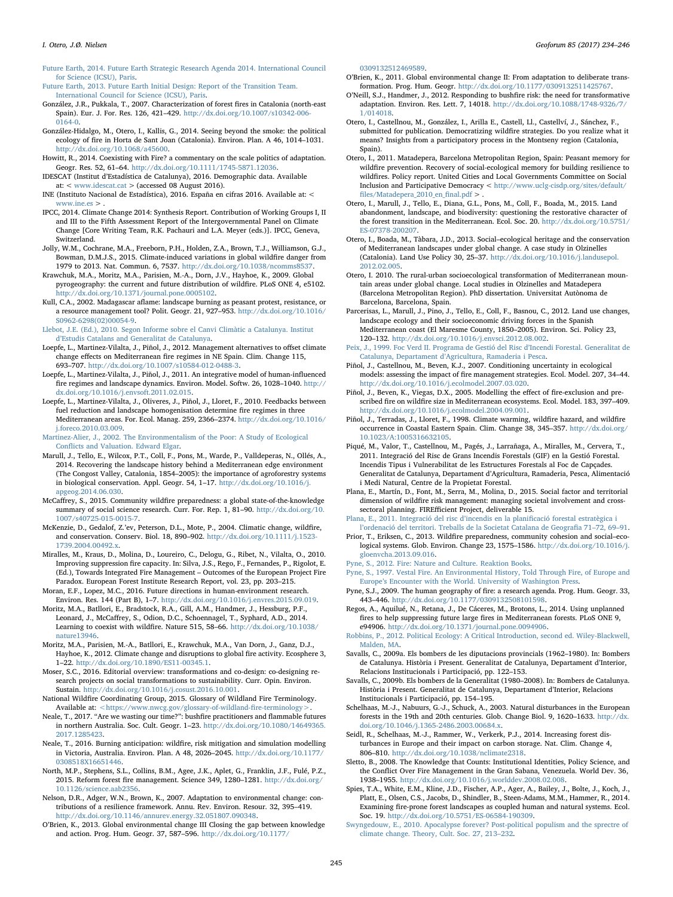[Future Earth, 2014. Future Earth Strategic Research Agenda 2014. International Council](http://refhub.elsevier.com/S0016-7185(17)30219-1/h0140) [for Science \(ICSU\), Paris.](http://refhub.elsevier.com/S0016-7185(17)30219-1/h0140)

<span id="page-11-0"></span>[Future Earth, 2013. Future Earth Initial Design: Report of the Transition Team.](http://refhub.elsevier.com/S0016-7185(17)30219-1/h0145) [International Council for Science \(ICSU\), Paris.](http://refhub.elsevier.com/S0016-7185(17)30219-1/h0145)

- González, J.R., Pukkala, T., 2007. Characterization of forest fires in Catalonia (north-east Spain). Eur. J. For. Res. 126, 421–429. [http://dx.doi.org/10.1007/s10342-006-](http://dx.doi.org/10.1007/s10342-006-0164-0) [0164-0.](http://dx.doi.org/10.1007/s10342-006-0164-0)
- <span id="page-11-28"></span>González-Hidalgo, M., Otero, I., Kallis, G., 2014. Seeing beyond the smoke: the political ecology of fire in Horta de Sant Joan (Catalonia). Environ. Plan. A 46, 1014–1031. [http://dx.doi.org/10.1068/a45600.](http://dx.doi.org/10.1068/a45600)

<span id="page-11-15"></span>Howitt, R., 2014. Coexisting with Fire? a commentary on the scale politics of adaptation. Geogr. Res. 52, 61–64. [http://dx.doi.org/10.1111/1745-5871.12036.](http://dx.doi.org/10.1111/1745-5871.12036)

<span id="page-11-18"></span>IDESCAT (Institut d'Estadística de Catalunya), 2016. Demographic data. Available at: < [www.idescat.cat](http://www.idescat.cat) > (accessed 08 August 2016).

<span id="page-11-19"></span>INE (Instituto Nacional de Estadística), 2016. España en cifras 2016. Available at: <  $www.ine. es$   $>$ .

- <span id="page-11-37"></span>IPCC, 2014. Climate Change 2014: Synthesis Report. Contribution of Working Groups I, II and III to the Fifth Assessment Report of the Intergovernmental Panel on Climate Change [Core Writing Team, R.K. Pachauri and L.A. Meyer (eds.)]. IPCC, Geneva, Switzerland.
- <span id="page-11-7"></span>Jolly, W.M., Cochrane, M.A., Freeborn, P.H., Holden, Z.A., Brown, T.J., Williamson, G.J., Bowman, D.M.J.S., 2015. Climate-induced variations in global wildfire danger from 1979 to 2013. Nat. Commun. 6, 7537. [http://dx.doi.org/10.1038/ncomms8537.](http://dx.doi.org/10.1038/ncomms8537)
- <span id="page-11-6"></span>Krawchuk, M.A., Moritz, M.A., Parisien, M.-A., Dorn, J.V., Hayhoe, K., 2009. Global pyrogeography: the current and future distribution of wildfire. PLoS ONE 4, e5102. <http://dx.doi.org/10.1371/journal.pone.0005102>.
- Kull, C.A., 2002. Madagascar aflame: landscape burning as peasant protest, resistance, or a resource management tool? Polit. Geogr. 21, 927–953. [http://dx.doi.org/10.1016/](http://dx.doi.org/10.1016/S0962-6298(02)00054-9) [S0962-6298\(02\)00054-9](http://dx.doi.org/10.1016/S0962-6298(02)00054-9).

<span id="page-11-38"></span>[Llebot, J.E. \(Ed.\), 2010. Segon Informe sobre el Canvi Climàtic a Catalunya. Institut](http://refhub.elsevier.com/S0016-7185(17)30219-1/h0195) d'[Estudis Catalans and Generalitat de Catalunya](http://refhub.elsevier.com/S0016-7185(17)30219-1/h0195).

- <span id="page-11-33"></span>Loepfe, L., Martinez-Vilalta, J., Piñol, J., 2012. Management alternatives to offset climate change effects on Mediterranean fire regimes in NE Spain. Clim. Change 115, 693–707. <http://dx.doi.org/10.1007/s10584-012-0488-3>.
- Loepfe, L., Martinez-Vilalta, J., Piñol, J., 2011. An integrative model of human-influenced fire regimes and landscape dynamics. Environ. Model. Softw. 26, 1028–1040. [http://](http://dx.doi.org/10.1016/j.envsoft.2011.02.015) [dx.doi.org/10.1016/j.envsoft.2011.02.015.](http://dx.doi.org/10.1016/j.envsoft.2011.02.015)
- <span id="page-11-31"></span>Loepfe, L., Martinez-Vilalta, J., Oliveres, J., Piñol, J., Lloret, F., 2010. Feedbacks between fuel reduction and landscape homogenisation determine fire regimes in three Mediterranean areas. For. Ecol. Manag. 259, 2366–2374. [http://dx.doi.org/10.1016/](http://dx.doi.org/10.1016/j.foreco.2010.03.009) [j.foreco.2010.03.009](http://dx.doi.org/10.1016/j.foreco.2010.03.009).
- Martinez-Alier, [J., 2002. The Environmentalism of the Poor: A Study of Ecological](http://refhub.elsevier.com/S0016-7185(17)30219-1/h0215) Confl[icts and Valuation. Edward Elgar.](http://refhub.elsevier.com/S0016-7185(17)30219-1/h0215)
- Marull, J., Tello, E., Wilcox, P.T., Coll, F., Pons, M., Warde, P., Valldeperas, N., Ollés, A., 2014. Recovering the landscape history behind a Mediterranean edge environment (The Congost Valley, Catalonia, 1854–2005): the importance of agroforestry systems in biological conservation. Appl. Geogr. 54, 1–17. [http://dx.doi.org/10.1016/j.](http://dx.doi.org/10.1016/j.apgeog.2014.06.030) [apgeog.2014.06.030](http://dx.doi.org/10.1016/j.apgeog.2014.06.030).
- <span id="page-11-11"></span>McCaffrey, S., 2015. Community wildfire preparedness: a global state-of-the-knowledge summary of social science research. Curr. For. Rep. 1, 81–90. [http://dx.doi.org/10.](http://dx.doi.org/10.1007/s40725-015-0015-7) [1007/s40725-015-0015-7](http://dx.doi.org/10.1007/s40725-015-0015-7).
- <span id="page-11-9"></span>McKenzie, D., Gedalof, Z.'ev, Peterson, D.L., Mote, P., 2004. Climatic change, wildfire, and conservation. Conserv. Biol. 18, 890–902. [http://dx.doi.org/10.1111/j.1523-](http://dx.doi.org/10.1111/j.1523-1739.2004.00492.x) [1739.2004.00492.x.](http://dx.doi.org/10.1111/j.1523-1739.2004.00492.x)
- Miralles, M., Kraus, D., Molina, D., Loureiro, C., Delogu, G., Ribet, N., Vilalta, O., 2010. Improving suppression fire capacity. In: Silva, J.S., Rego, F., Fernandes, P., Rigolot, E. (Ed.), Towards Integrated Fire Management – Outcomes of the European Project Fire Paradox. European Forest Institute Research Report, vol. 23, pp. 203–215.
- <span id="page-11-5"></span>Moran, E.F., Lopez, M.C., 2016. Future directions in human-environment research. Environ. Res. 144 (Part B), 1–7. <http://dx.doi.org/10.1016/j.envres.2015.09.019>.
- <span id="page-11-14"></span>Moritz, M.A., Batllori, E., Bradstock, R.A., Gill, A.M., Handmer, J., Hessburg, P.F., Leonard, J., McCaffrey, S., Odion, D.C., Schoennagel, T., Syphard, A.D., 2014. Learning to coexist with wildfire. Nature 515, 58–66. [http://dx.doi.org/10.1038/](http://dx.doi.org/10.1038/nature13946) [nature13946.](http://dx.doi.org/10.1038/nature13946)

Moritz, M.A., Parisien, M.-A., Batllori, E., Krawchuk, M.A., Van Dorn, J., Ganz, D.J., Hayhoe, K., 2012. Climate change and disruptions to global fire activity. Ecosphere 3, 1–22. [http://dx.doi.org/10.1890/ES11-00345.1.](http://dx.doi.org/10.1890/ES11-00345.1)

<span id="page-11-3"></span>Moser, S.C., 2016. Editorial overview: transformations and co-design: co-designing research projects on social transformations to sustainability. Curr. Opin. Environ. Sustain. <http://dx.doi.org/10.1016/j.cosust.2016.10.001>.

<span id="page-11-27"></span>National Wildfire Coordinating Group, 2015. Glossary of Wildland Fire Terminology.

- <span id="page-11-30"></span>Available at: [<https://www.nwcg.gov/glossary-of-wildland-](http://www.elsevier.com/xml/linking-roles/text/html)fire-terminology>.<br>Neale, T., 2017. "Are we wasting our time?": bushfire practitioners and flammable futures in northern Australia. Soc. Cult. Geogr. 1–23. [http://dx.doi.org/10.1080/14649365.](http://dx.doi.org/10.1080/14649365.2017.1285423) [2017.1285423.](http://dx.doi.org/10.1080/14649365.2017.1285423)
- <span id="page-11-40"></span>Neale, T., 2016. Burning anticipation: wildfire, risk mitigation and simulation modelling in Victoria, Australia. Environ. Plan. A 48, 2026–2045. [http://dx.doi.org/10.1177/](http://dx.doi.org/10.1177/0308518X16651446) [0308518X16651446](http://dx.doi.org/10.1177/0308518X16651446).
- North, M.P., Stephens, S.L., Collins, B.M., Agee, J.K., Aplet, G., Franklin, J.F., Fulé, P.Z., 2015. Reform forest fire management. Science 349, 1280–1281. [http://dx.doi.org/](http://dx.doi.org/10.1126/science.aab2356) [10.1126/science.aab2356](http://dx.doi.org/10.1126/science.aab2356).

<span id="page-11-4"></span>Nelson, D.R., Adger, W.N., Brown, K., 2007. Adaptation to environmental change: contributions of a resilience framework. Annu. Rev. Environ. Resour. 32, 395–419. [http://dx.doi.org/10.1146/annurev.energy.32.051807.090348.](http://dx.doi.org/10.1146/annurev.energy.32.051807.090348)

<span id="page-11-1"></span>O'Brien, K., 2013. Global environmental change III Closing the gap between knowledge and action. Prog. Hum. Geogr. 37, 587–596. [http://dx.doi.org/10.1177/](http://dx.doi.org/10.1177/0309132512469589)

[0309132512469589.](http://dx.doi.org/10.1177/0309132512469589)

- <span id="page-11-2"></span>O'Brien, K., 2011. Global environmental change II: From adaptation to deliberate transformation. Prog. Hum. Geogr. <http://dx.doi.org/10.1177/0309132511425767>.
- <span id="page-11-10"></span>O'Neill, S.J., Handmer, J., 2012. Responding to bushfire risk: the need for transformative adaptation. Environ. Res. Lett. 7, 14018. [http://dx.doi.org/10.1088/1748-9326/7/](http://dx.doi.org/10.1088/1748-9326/7/1/014018) [1/014018.](http://dx.doi.org/10.1088/1748-9326/7/1/014018)
- <span id="page-11-25"></span>Otero, I., Castellnou, M., González, I., Arilla E., Castell, Ll., Castellví, J., Sánchez, F., submitted for publication. Democratizing wildfire strategies. Do you realize what it means? Insights from a participatory process in the Montseny region (Catalonia, Spain).
- <span id="page-11-26"></span>Otero, I., 2011. Matadepera, Barcelona Metropolitan Region, Spain: Peasant memory for wildfire prevention. Recovery of social-ecological memory for building resilience to wildfires. Policy report. United Cities and Local Governments Committee on Social Inclusion and Participative Democracy < [http://www.uclg-cisdp.org/sites/default/](http://www.uclg-cisdp.org/sites/default/files/Matadepera_2010_en_final.pdf) fi[les/Matadepera\\_2010\\_en\\_](http://www.uclg-cisdp.org/sites/default/files/Matadepera_2010_en_final.pdf)final.pdf > .
- <span id="page-11-35"></span>Otero, I., Marull, J., Tello, E., Diana, G.L., Pons, M., Coll, F., Boada, M., 2015. Land abandonment, landscape, and biodiversity: questioning the restorative character of the forest transition in the Mediterranean. Ecol. Soc. 20. [http://dx.doi.org/10.5751/](http://dx.doi.org/10.5751/ES-07378-200207) [ES-07378-200207](http://dx.doi.org/10.5751/ES-07378-200207).
- Otero, I., Boada, M., Tàbara, J.D., 2013. Social–ecological heritage and the conservation of Mediterranean landscapes under global change. A case study in Olzinelles (Catalonia). Land Use Policy 30, 25–37. [http://dx.doi.org/10.1016/j.landusepol.](http://dx.doi.org/10.1016/j.landusepol.2012.02.005) [2012.02.005](http://dx.doi.org/10.1016/j.landusepol.2012.02.005).
- <span id="page-11-39"></span>Otero, I. 2010. The rural-urban socioecological transformation of Mediterranean mountain areas under global change. Local studies in Olzinelles and Matadepera (Barcelona Metropolitan Region). PhD dissertation. Universitat Autònoma de Barcelona, Barcelona, Spain.
- Parcerisas, L., Marull, J., Pino, J., Tello, E., Coll, F., Basnou, C., 2012. Land use changes, landscape ecology and their socioeconomic driving forces in the Spanish Mediterranean coast (El Maresme County, 1850–2005). Environ. Sci. Policy 23, 120–132. [http://dx.doi.org/10.1016/j.envsci.2012.08.002.](http://dx.doi.org/10.1016/j.envsci.2012.08.002)

<span id="page-11-24"></span>[Peix, J., 1999. Foc Verd II. Programa de Gestió del Risc d](http://refhub.elsevier.com/S0016-7185(17)30219-1/h0335)'Incendi Forestal. Generalitat de Catalunya, Departament d'[Agricultura, Ramaderia i Pesca.](http://refhub.elsevier.com/S0016-7185(17)30219-1/h0335)

- <span id="page-11-32"></span>Piñol, J., Castellnou, M., Beven, K.J., 2007. Conditioning uncertainty in ecological models: assessing the impact of fire management strategies. Ecol. Model. 207, 34–44. [http://dx.doi.org/10.1016/j.ecolmodel.2007.03.020.](http://dx.doi.org/10.1016/j.ecolmodel.2007.03.020)
- <span id="page-11-36"></span>Piñol, J., Beven, K., Viegas, D.X., 2005. Modelling the effect of fire-exclusion and prescribed fire on wildfire size in Mediterranean ecosystems. Ecol. Model. 183, 397–409. [http://dx.doi.org/10.1016/j.ecolmodel.2004.09.001.](http://dx.doi.org/10.1016/j.ecolmodel.2004.09.001)

<span id="page-11-20"></span>Piñol, J., Terradas, J., Lloret, F., 1998. Climate warming, wildfire hazard, and wildfire occurrence in Coastal Eastern Spain. Clim. Change 38, 345–357. [http://dx.doi.org/](http://dx.doi.org/10.1023/A:1005316632105) [10.1023/A:1005316632105.](http://dx.doi.org/10.1023/A:1005316632105)

- Piqué, M., Valor, T., Castellnou, M., Pagés, J., Larrañaga, A., Miralles, M., Cervera, T., 2011. Integració del Risc de Grans Incendis Forestals (GIF) en la Gestió Forestal. Incendis Tipus i Vulnerabilitat de les Estructures Forestals al Foc de Capçades. Generalitat de Catalunya, Departament d'Agricultura, Ramaderia, Pesca, Alimentació i Medi Natural, Centre de la Propietat Forestal.
- <span id="page-11-13"></span>Plana, E., Martín, D., Font, M., Serra, M., Molina, D., 2015. Social factor and territorial dimension of wildfire risk management: managing societal involvement and crosssectoral planning. FIREfficient Project, deliverable 15.

<span id="page-11-29"></span>[Plana, E., 2011. Integració del risc d](http://refhub.elsevier.com/S0016-7185(17)30219-1/h0365)'incendis en la planificació forestal estratègica i l'[ordenació del territori. Treballs de la Societat Catalana de Geogra](http://refhub.elsevier.com/S0016-7185(17)30219-1/h0365)fia 71–72, 69–91.

<span id="page-11-12"></span>Prior, T., Eriksen, C., 2013. Wildfire preparedness, community cohesion and social–ecological systems. Glob. Environ. Change 23, 1575–1586. [http://dx.doi.org/10.1016/j.](http://dx.doi.org/10.1016/j.gloenvcha.2013.09.016) [gloenvcha.2013.09.016.](http://dx.doi.org/10.1016/j.gloenvcha.2013.09.016)

[Pyne, S., 2012. Fire: Nature and Culture. Reaktion Books](http://refhub.elsevier.com/S0016-7185(17)30219-1/h0375).

- <span id="page-11-21"></span>[Pyne, S., 1997. Vestal Fire. An Environmental History, Told Through Fire, of Europe and](http://refhub.elsevier.com/S0016-7185(17)30219-1/h0380) Europe'[s Encounter with the World. University of Washington Press.](http://refhub.elsevier.com/S0016-7185(17)30219-1/h0380)
- <span id="page-11-17"></span>Pyne, S.J., 2009. The human geography of fire: a research agenda. Prog. Hum. Geogr. 33, 443–446. [http://dx.doi.org/10.1177/0309132508101598.](http://dx.doi.org/10.1177/0309132508101598)
- <span id="page-11-34"></span>Regos, A., Aquilué, N., Retana, J., De Cáceres, M., Brotons, L., 2014. Using unplanned fires to help suppressing future large fires in Mediterranean forests. PLoS ONE 9, e94906. <http://dx.doi.org/10.1371/journal.pone.0094906>.

<span id="page-11-16"></span>[Robbins, P., 2012. Political Ecology: A Critical Introduction, second ed. Wiley-Blackwell,](http://refhub.elsevier.com/S0016-7185(17)30219-1/h0395) [Malden,](http://refhub.elsevier.com/S0016-7185(17)30219-1/h0395) MA.

- <span id="page-11-22"></span>Savalls, C., 2009a. Els bombers de les diputacions provincials (1962–1980). In: Bombers de Catalunya. Història i Present. Generalitat de Catalunya, Departament d'Interior, Relacions Institucionals i Participació, pp. 122–153.
- <span id="page-11-23"></span>Savalls, C., 2009b. Els bombers de la Generalitat (1980–2008). In: Bombers de Catalunya. Història i Present. Generalitat de Catalunya, Departament d'Interior, Relacions Institucionals i Participació, pp. 154–195.
- <span id="page-11-8"></span>Schelhaas, M.-J., Nabuurs, G.-J., Schuck, A., 2003. Natural disturbances in the European forests in the 19th and 20th centuries. Glob. Change Biol. 9, 1620–1633. [http://dx.](http://dx.doi.org/10.1046/j.1365-2486.2003.00684.x) [doi.org/10.1046/j.1365-2486.2003.00684.x.](http://dx.doi.org/10.1046/j.1365-2486.2003.00684.x)

Seidl, R., Schelhaas, M.-J., Rammer, W., Verkerk, P.J., 2014. Increasing forest disturbances in Europe and their impact on carbon storage. Nat. Clim. Change 4, 806–810. [http://dx.doi.org/10.1038/nclimate2318.](http://dx.doi.org/10.1038/nclimate2318)

- Sletto, B., 2008. The Knowledge that Counts: Institutional Identities, Policy Science, and the Conflict Over Fire Management in the Gran Sabana, Venezuela. World Dev. 36, 1938–1955. <http://dx.doi.org/10.1016/j.worlddev.2008.02.008>.
- Spies, T.A., White, E.M., Kline, J.D., Fischer, A.P., Ager, A., Bailey, J., Bolte, J., Koch, J., Platt, E., Olsen, C.S., Jacobs, D., Shindler, B., Steen-Adams, M.M., Hammer, R., 2014. Examining fire-prone forest landscapes as coupled human and natural systems. Ecol. Soc. 19. [http://dx.doi.org/10.5751/ES-06584-190309.](http://dx.doi.org/10.5751/ES-06584-190309)

[Swyngedouw, E., 2010. Apocalypse forever? Post-political populism and the sprectre of](http://refhub.elsevier.com/S0016-7185(17)30219-1/h0430) [climate change. Theory, Cult. Soc. 27, 213](http://refhub.elsevier.com/S0016-7185(17)30219-1/h0430)–232.